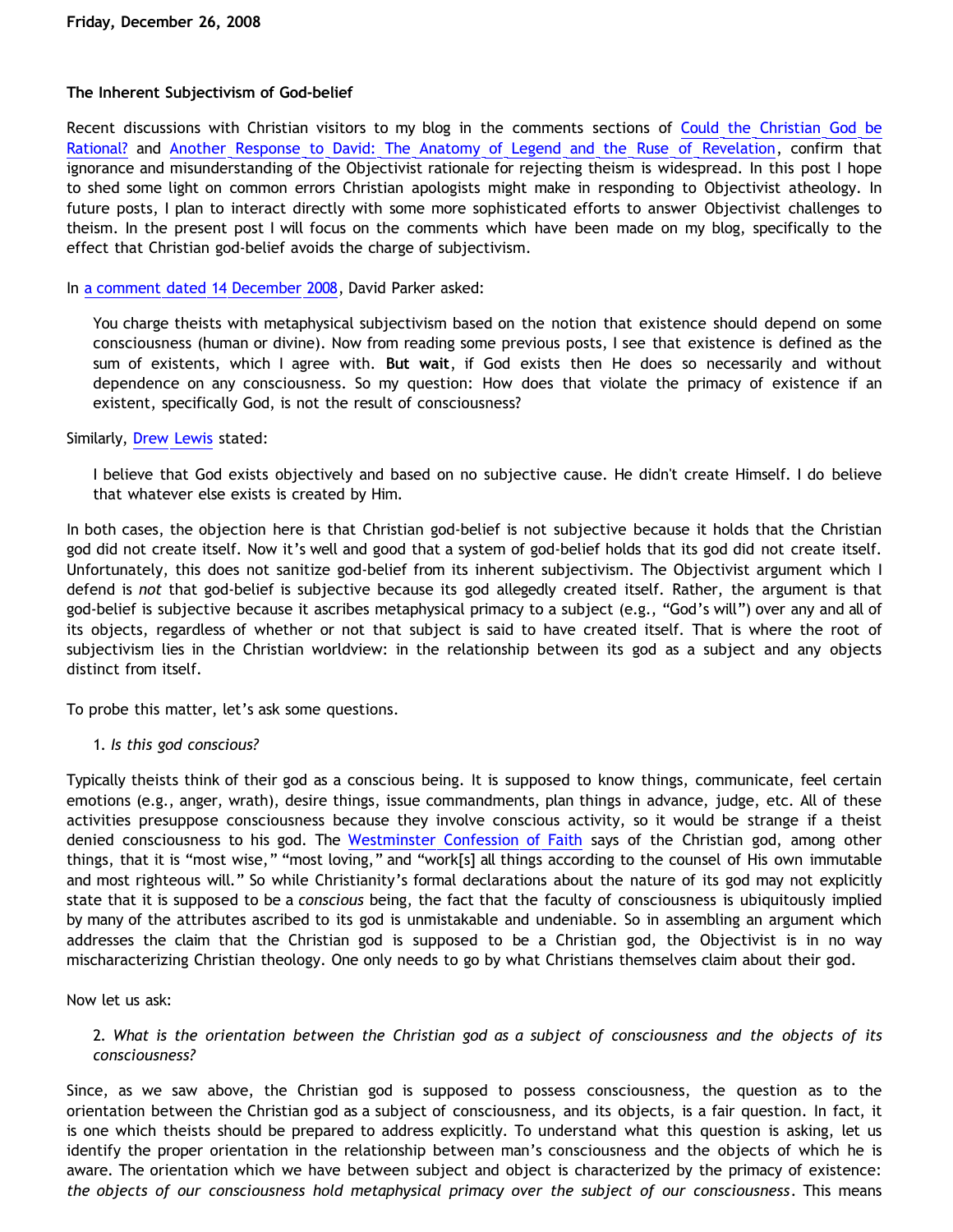# **The Inherent Subjectivism of God-belief**

Recent discussions with Christian visitors to my blog in the comments sections of [Could the Christian God be](http://bahnsenburner.blogspot.com/2008/12/could-christian-god-be-rational.html) [Rational?](http://bahnsenburner.blogspot.com/2008/12/could-christian-god-be-rational.html) and [Another Response to David: The Anatomy of Legend and the Ruse of Revelation](http://bahnsenburner.blogspot.com/2008/09/another-response-to-david-part-7.html), confirm that ignorance and misunderstanding of the Objectivist rationale for rejecting theism is widespread. In this post I hope to shed some light on common errors Christian apologists might make in responding to Objectivist atheology. In future posts, I plan to interact directly with some more sophisticated efforts to answer Objectivist challenges to theism. In the present post I will focus on the comments which have been made on my blog, specifically to the effect that Christian god-belief avoids the charge of subjectivism.

# In [a comment dated 14 December 2008](http://bahnsenburner.blogspot.com/2008/09/another-response-to-david-part-7.html), David Parker asked:

You charge theists with metaphysical subjectivism based on the notion that existence should depend on some consciousness (human or divine). Now from reading some previous posts, I see that existence is defined as the sum of existents, which I agree with. **But wait**, if God exists then He does so necessarily and without dependence on any consciousness. So my question: How does that violate the primacy of existence if an existent, specifically God, is not the result of consciousness?

### Similarly, [Drew Lewis](http://bahnsenburner.blogspot.com/2008/12/could-christian-god-be-rational.html) stated:

I believe that God exists objectively and based on no subjective cause. He didn't create Himself. I do believe that whatever else exists is created by Him.

In both cases, the objection here is that Christian god-belief is not subjective because it holds that the Christian god did not create itself. Now it's well and good that a system of god-belief holds that its god did not create itself. Unfortunately, this does not sanitize god-belief from its inherent subjectivism. The Objectivist argument which I defend is *not* that god-belief is subjective because its god allegedly created itself. Rather, the argument is that god-belief is subjective because it ascribes metaphysical primacy to a subject (e.g., "God's will") over any and all of its objects, regardless of whether or not that subject is said to have created itself. That is where the root of subjectivism lies in the Christian worldview: in the relationship between its god as a subject and any objects distinct from itself.

To probe this matter, let's ask some questions.

1. *Is this god conscious?*

Typically theists think of their god as a conscious being. It is supposed to know things, communicate, feel certain emotions (e.g., anger, wrath), desire things, issue commandments, plan things in advance, judge, etc. All of these activities presuppose consciousness because they involve conscious activity, so it would be strange if a theist denied consciousness to his god. The [Westminster Confession of Faith](http://www.reformed.org/documents/wcf_with_proofs/ch_II.html) says of the Christian god, among other things, that it is "most wise," "most loving," and "work[s] all things according to the counsel of His own immutable and most righteous will." So while Christianity's formal declarations about the nature of its god may not explicitly state that it is supposed to be a *conscious* being, the fact that the faculty of consciousness is ubiquitously implied by many of the attributes ascribed to its god is unmistakable and undeniable. So in assembling an argument which addresses the claim that the Christian god is supposed to be a Christian god, the Objectivist is in no way mischaracterizing Christian theology. One only needs to go by what Christians themselves claim about their god.

Now let us ask:

# 2. *What is the orientation between the Christian god as a subject of consciousness and the objects of its consciousness?*

Since, as we saw above, the Christian god is supposed to possess consciousness, the question as to the orientation between the Christian god as a subject of consciousness, and its objects, is a fair question. In fact, it is one which theists should be prepared to address explicitly. To understand what this question is asking, let us identify the proper orientation in the relationship between man's consciousness and the objects of which he is aware. The orientation which we have between subject and object is characterized by the primacy of existence: *the objects of our consciousness hold metaphysical primacy over the subject of our consciousness*. This means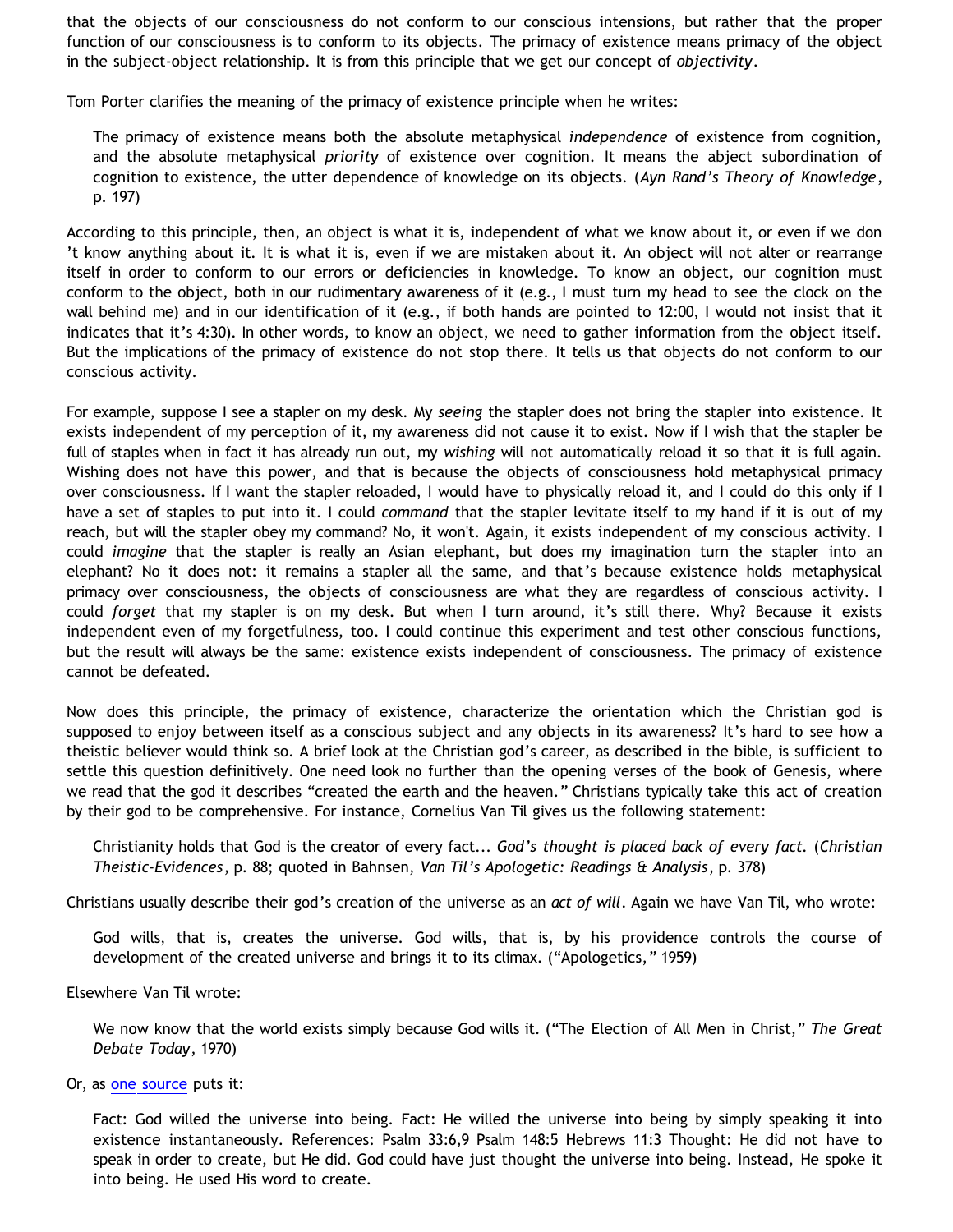that the objects of our consciousness do not conform to our conscious intensions, but rather that the proper function of our consciousness is to conform to its objects. The primacy of existence means primacy of the object in the subject-object relationship. It is from this principle that we get our concept of *objectivity*.

Tom Porter clarifies the meaning of the primacy of existence principle when he writes:

The primacy of existence means both the absolute metaphysical *independence* of existence from cognition, and the absolute metaphysical *priority* of existence over cognition. It means the abject subordination of cognition to existence, the utter dependence of knowledge on its objects. (*Ayn Rand's Theory of Knowledge*, p. 197)

According to this principle, then, an object is what it is, independent of what we know about it, or even if we don 't know anything about it. It is what it is, even if we are mistaken about it. An object will not alter or rearrange itself in order to conform to our errors or deficiencies in knowledge. To know an object, our cognition must conform to the object, both in our rudimentary awareness of it (e.g., I must turn my head to see the clock on the wall behind me) and in our identification of it (e.g., if both hands are pointed to 12:00, I would not insist that it indicates that it's 4:30). In other words, to know an object, we need to gather information from the object itself. But the implications of the primacy of existence do not stop there. It tells us that objects do not conform to our conscious activity.

For example, suppose I see a stapler on my desk. My *seeing* the stapler does not bring the stapler into existence. It exists independent of my perception of it, my awareness did not cause it to exist. Now if I wish that the stapler be full of staples when in fact it has already run out, my *wishing* will not automatically reload it so that it is full again. Wishing does not have this power, and that is because the objects of consciousness hold metaphysical primacy over consciousness. If I want the stapler reloaded, I would have to physically reload it, and I could do this only if I have a set of staples to put into it. I could *command* that the stapler levitate itself to my hand if it is out of my reach, but will the stapler obey my command? No, it won't. Again, it exists independent of my conscious activity. I could *imagine* that the stapler is really an Asian elephant, but does my imagination turn the stapler into an elephant? No it does not: it remains a stapler all the same, and that's because existence holds metaphysical primacy over consciousness, the objects of consciousness are what they are regardless of conscious activity. I could *forget* that my stapler is on my desk. But when I turn around, it's still there. Why? Because it exists independent even of my forgetfulness, too. I could continue this experiment and test other conscious functions, but the result will always be the same: existence exists independent of consciousness. The primacy of existence cannot be defeated.

Now does this principle, the primacy of existence, characterize the orientation which the Christian god is supposed to enjoy between itself as a conscious subject and any objects in its awareness? It's hard to see how a theistic believer would think so. A brief look at the Christian god's career, as described in the bible, is sufficient to settle this question definitively. One need look no further than the opening verses of the book of Genesis, where we read that the god it describes "created the earth and the heaven." Christians typically take this act of creation by their god to be comprehensive. For instance, Cornelius Van Til gives us the following statement:

Christianity holds that God is the creator of every fact... *God's thought is placed back of every fact.* (*Christian Theistic-Evidences*, p. 88; quoted in Bahnsen, *Van Til's Apologetic: Readings & Analysis*, p. 378)

Christians usually describe their god's creation of the universe as an *act of will*. Again we have Van Til, who wrote:

God wills, that is, creates the universe. God wills, that is, by his providence controls the course of development of the created universe and brings it to its climax. ("Apologetics," 1959)

Elsewhere Van Til wrote:

We now know that the world exists simply because God wills it. ("The Election of All Men in Christ," *The Great Debate Today*, 1970)

Or, as [one source](http://www.shirleyassembly.com/biblestudies/genesis/Lesson6deepersevendaysofcreation.pdf) puts it:

Fact: God willed the universe into being. Fact: He willed the universe into being by simply speaking it into existence instantaneously. References: Psalm 33:6,9 Psalm 148:5 Hebrews 11:3 Thought: He did not have to speak in order to create, but He did. God could have just thought the universe into being. Instead, He spoke it into being. He used His word to create.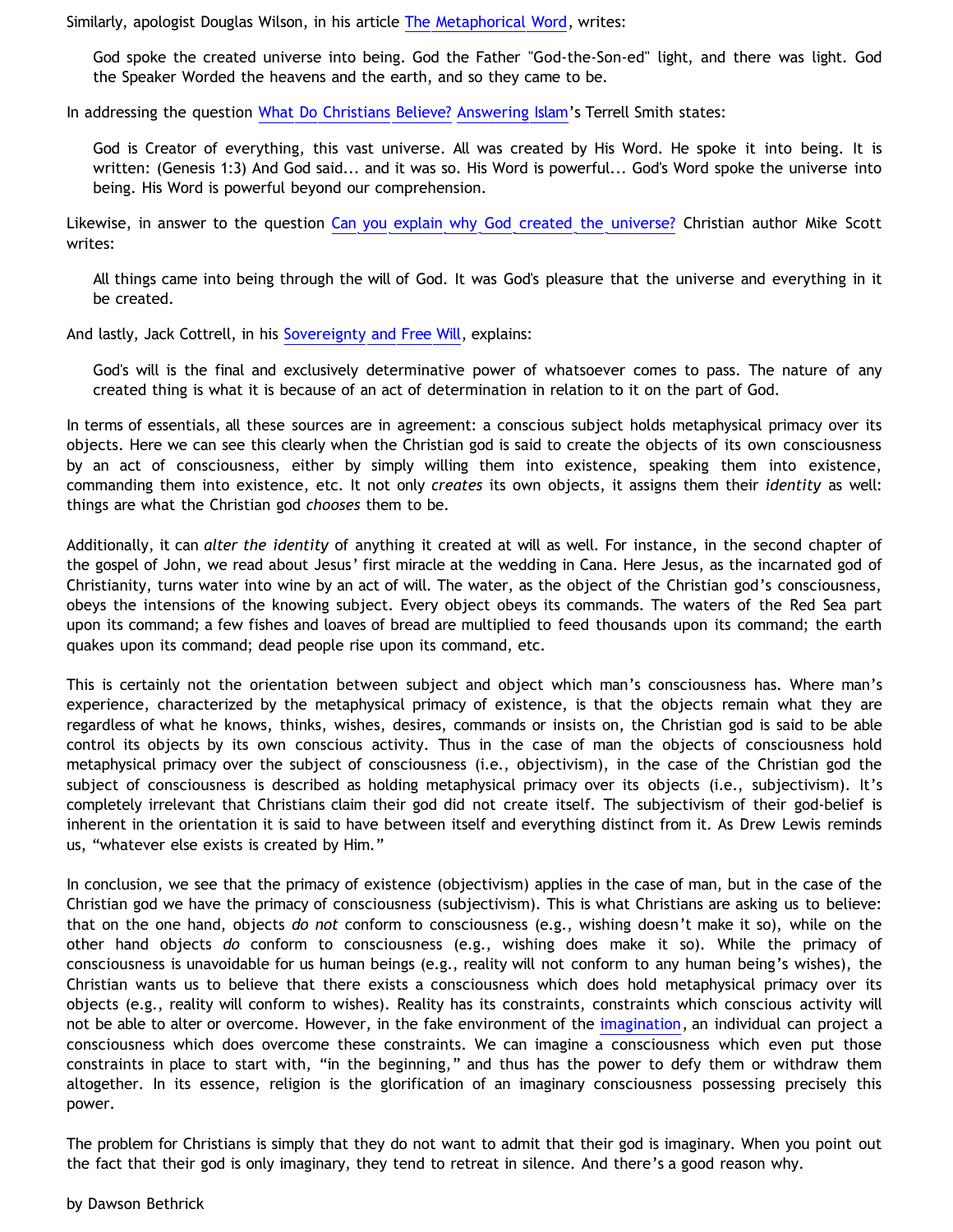Similarly, apologist Douglas Wilson, in his article [The Metaphorical Word,](http://www.credenda.org/issues/14-1thema.php) writes:

God spoke the created universe into being. God the Father "God-the-Son-ed" light, and there was light. God the Speaker Worded the heavens and the earth, and so they came to be.

In addressing the question [What Do Christians Believe?](http://www.answering-islam.org/Basics/god.html) [Answering Islam'](http://www.answering-islam.org/)s Terrell Smith states:

God is Creator of everything, this vast universe. All was created by His Word. He spoke it into being. It is written: (Genesis 1:3) And God said... and it was so. His Word is powerful... God's Word spoke the universe into being. His Word is powerful beyond our comprehension.

Likewise, in answer to the question [Can you explain why God created the universe?](http://www.scripturessay.com/article.php?cat=&id=97) Christian author Mike Scott writes:

All things came into being through the will of God. It was God's pleasure that the universe and everything in it be created.

And lastly, Jack Cottrell, in his [Sovereignty and Free Will,](http://www.dabar.org/SemReview/sovfrwill.html) explains:

God's will is the final and exclusively determinative power of whatsoever comes to pass. The nature of any created thing is what it is because of an act of determination in relation to it on the part of God.

In terms of essentials, all these sources are in agreement: a conscious subject holds metaphysical primacy over its objects. Here we can see this clearly when the Christian god is said to create the objects of its own consciousness by an act of consciousness, either by simply willing them into existence, speaking them into existence, commanding them into existence, etc. It not only *creates* its own objects, it assigns them their *identity* as well: things are what the Christian god *chooses* them to be.

Additionally, it can *alter the identity* of anything it created at will as well. For instance, in the second chapter of the gospel of John, we read about Jesus' first miracle at the wedding in Cana. Here Jesus, as the incarnated god of Christianity, turns water into wine by an act of will. The water, as the object of the Christian god's consciousness, obeys the intensions of the knowing subject. Every object obeys its commands. The waters of the Red Sea part upon its command; a few fishes and loaves of bread are multiplied to feed thousands upon its command; the earth quakes upon its command; dead people rise upon its command, etc.

This is certainly not the orientation between subject and object which man's consciousness has. Where man's experience, characterized by the metaphysical primacy of existence, is that the objects remain what they are regardless of what he knows, thinks, wishes, desires, commands or insists on, the Christian god is said to be able control its objects by its own conscious activity. Thus in the case of man the objects of consciousness hold metaphysical primacy over the subject of consciousness (i.e., objectivism), in the case of the Christian god the subject of consciousness is described as holding metaphysical primacy over its objects (i.e., subjectivism). It's completely irrelevant that Christians claim their god did not create itself. The subjectivism of their god-belief is inherent in the orientation it is said to have between itself and everything distinct from it. As Drew Lewis reminds us, "whatever else exists is created by Him."

In conclusion, we see that the primacy of existence (objectivism) applies in the case of man, but in the case of the Christian god we have the primacy of consciousness (subjectivism). This is what Christians are asking us to believe: that on the one hand, objects *do not* conform to consciousness (e.g., wishing doesn't make it so), while on the other hand objects *do* conform to consciousness (e.g., wishing does make it so). While the primacy of consciousness is unavoidable for us human beings (e.g., reality will not conform to any human being's wishes), the Christian wants us to believe that there exists a consciousness which does hold metaphysical primacy over its objects (e.g., reality will conform to wishes). Reality has its constraints, constraints which conscious activity will not be able to alter or overcome. However, in the fake environment of the [imagination](http://bahnsenburner.blogspot.com/search/label/imagination), an individual can project a consciousness which does overcome these constraints. We can imagine a consciousness which even put those constraints in place to start with, "in the beginning," and thus has the power to defy them or withdraw them altogether. In its essence, religion is the glorification of an imaginary consciousness possessing precisely this power.

The problem for Christians is simply that they do not want to admit that their god is imaginary. When you point out the fact that their god is only imaginary, they tend to retreat in silence. And there's a good reason why.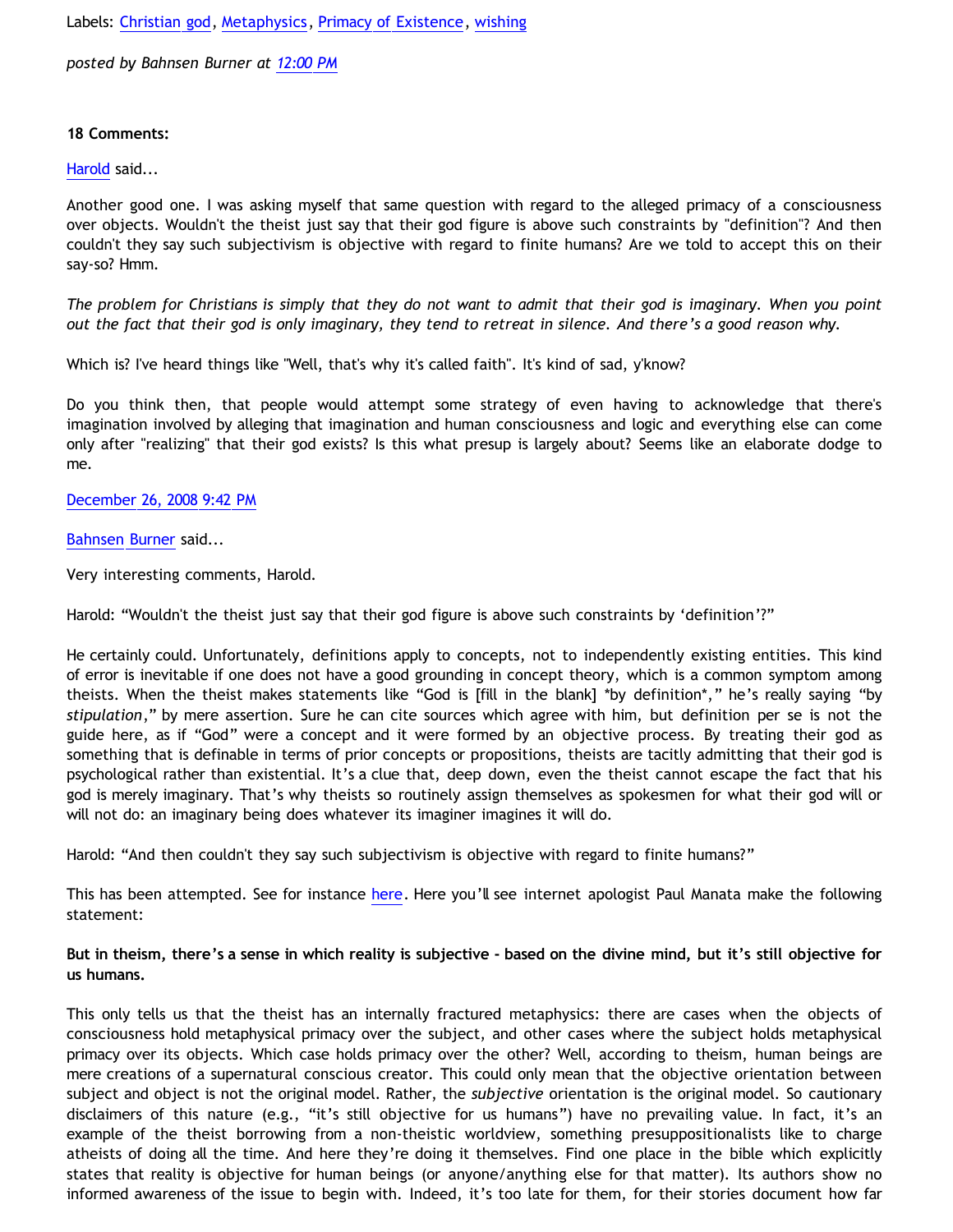Labels: [Christian god](http://bahnsenburner.blogspot.com/search/label/Christian%20god), [Metaphysics](http://bahnsenburner.blogspot.com/search/label/Metaphysics), [Primacy of Existence,](http://bahnsenburner.blogspot.com/search/label/Primacy%20of%20Existence) [wishing](http://bahnsenburner.blogspot.com/search/label/wishing)

*posted by Bahnsen Burner at [12:00 PM](http://bahnsenburner.blogspot.com/2008/12/inherent-subjectivism-of-god-belief.html)*

# **18 Comments:**

[Harold](http://www.blogger.com/profile/10897769844874861468) said...

Another good one. I was asking myself that same question with regard to the alleged primacy of a consciousness over objects. Wouldn't the theist just say that their god figure is above such constraints by "definition"? And then couldn't they say such subjectivism is objective with regard to finite humans? Are we told to accept this on their say-so? Hmm.

*The problem for Christians is simply that they do not want to admit that their god is imaginary. When you point out the fact that their god is only imaginary, they tend to retreat in silence. And there's a good reason why.*

Which is? I've heard things like "Well, that's why it's called faith". It's kind of sad, y'know?

Do you think then, that people would attempt some strategy of even having to acknowledge that there's imagination involved by alleging that imagination and human consciousness and logic and everything else can come only after "realizing" that their god exists? Is this what presup is largely about? Seems like an elaborate dodge to me.

[December 26, 2008 9:42 PM](http://bahnsenburner.blogspot.com/2008/12/6731892473620601585)

[Bahnsen Burner](http://www.blogger.com/profile/11030029491768748360) said...

Very interesting comments, Harold.

Harold: "Wouldn't the theist just say that their god figure is above such constraints by 'definition'?"

He certainly could. Unfortunately, definitions apply to concepts, not to independently existing entities. This kind of error is inevitable if one does not have a good grounding in concept theory, which is a common symptom among theists. When the theist makes statements like "God is [fill in the blank] \*by definition\*," he's really saying "by *stipulation*," by mere assertion. Sure he can cite sources which agree with him, but definition per se is not the guide here, as if "God" were a concept and it were formed by an objective process. By treating their god as something that is definable in terms of prior concepts or propositions, theists are tacitly admitting that their god is psychological rather than existential. It's a clue that, deep down, even the theist cannot escape the fact that his god is merely imaginary. That's why theists so routinely assign themselves as spokesmen for what their god will or will not do: an imaginary being does whatever its imaginer imagines it will do.

Harold: "And then couldn't they say such subjectivism is objective with regard to finite humans?"

This has been attempted. See for instance [here](http://bahnsenburner.blogspot.com/2006/12/theism-and-subjective-metaphysics.html). Here you'll see internet apologist Paul Manata make the following statement:

# **But in theism, there's a sense in which reality is subjective - based on the divine mind, but it's still objective for us humans.**

This only tells us that the theist has an internally fractured metaphysics: there are cases when the objects of consciousness hold metaphysical primacy over the subject, and other cases where the subject holds metaphysical primacy over its objects. Which case holds primacy over the other? Well, according to theism, human beings are mere creations of a supernatural conscious creator. This could only mean that the objective orientation between subject and object is not the original model. Rather, the *subjective* orientation is the original model. So cautionary disclaimers of this nature (e.g., "it's still objective for us humans") have no prevailing value. In fact, it's an example of the theist borrowing from a non-theistic worldview, something presuppositionalists like to charge atheists of doing all the time. And here they're doing it themselves. Find one place in the bible which explicitly states that reality is objective for human beings (or anyone/anything else for that matter). Its authors show no informed awareness of the issue to begin with. Indeed, it's too late for them, for their stories document how far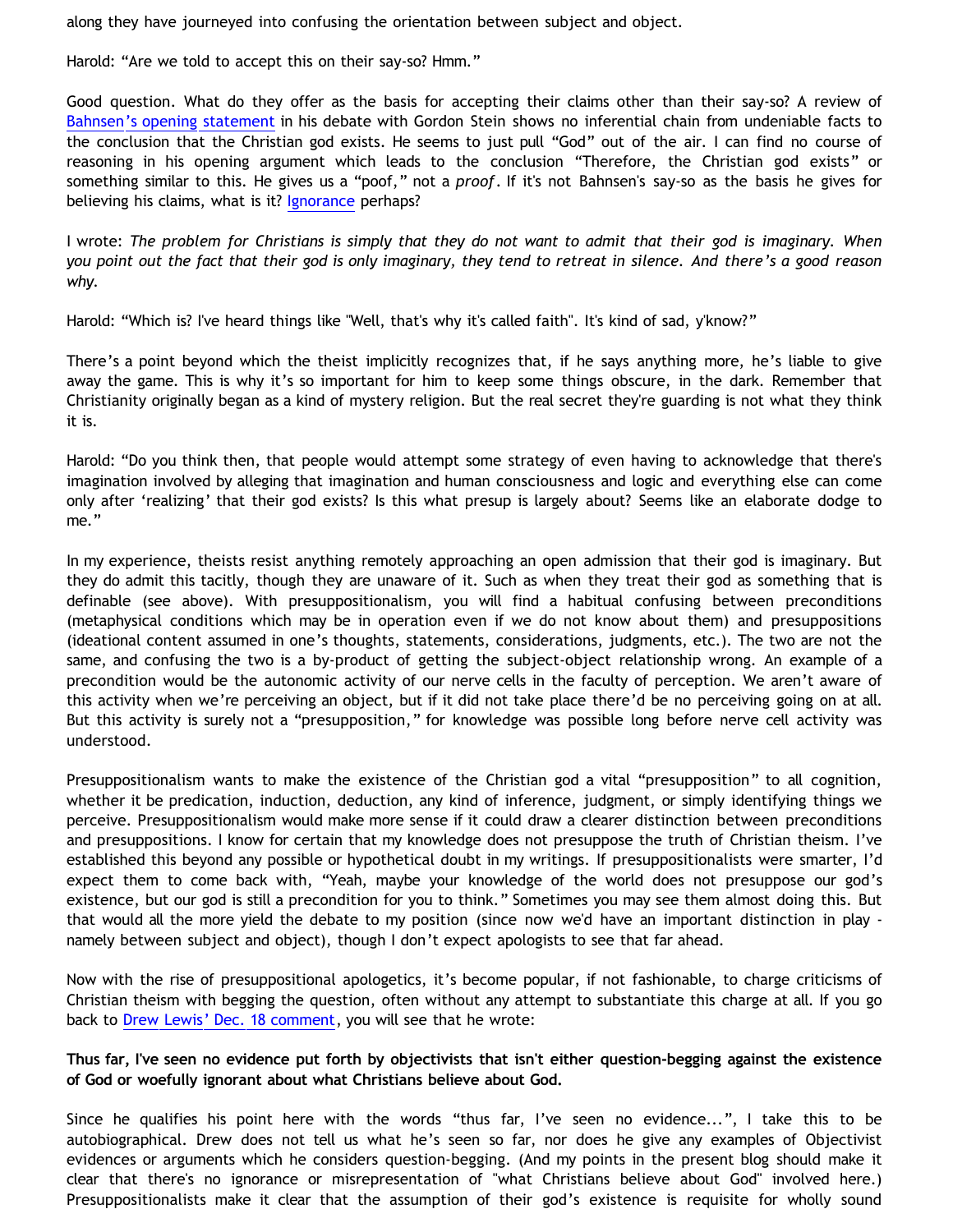along they have journeyed into confusing the orientation between subject and object.

Harold: "Are we told to accept this on their say-so? Hmm."

Good question. What do they offer as the basis for accepting their claims other than their say-so? A review of [Bahnsen's opening statement](http://www.geocities.com/katholon/poof.htm) in his debate with Gordon Stein shows no inferential chain from undeniable facts to the conclusion that the Christian god exists. He seems to just pull "God" out of the air. I can find no course of reasoning in his opening argument which leads to the conclusion "Therefore, the Christian god exists" or something similar to this. He gives us a "poof," not a *proof*. If it's not Bahnsen's say-so as the basis he gives for believing his claims, what is it? [Ignorance](http://bahnsenburner.blogspot.com/2006/02/presuppositionalism-and-argument-from.html) perhaps?

I wrote: *The problem for Christians is simply that they do not want to admit that their god is imaginary. When you point out the fact that their god is only imaginary, they tend to retreat in silence. And there's a good reason why.*

Harold: "Which is? I've heard things like "Well, that's why it's called faith". It's kind of sad, y'know?"

There's a point beyond which the theist implicitly recognizes that, if he says anything more, he's liable to give away the game. This is why it's so important for him to keep some things obscure, in the dark. Remember that Christianity originally began as a kind of mystery religion. But the real secret they're guarding is not what they think it is.

Harold: "Do you think then, that people would attempt some strategy of even having to acknowledge that there's imagination involved by alleging that imagination and human consciousness and logic and everything else can come only after 'realizing' that their god exists? Is this what presup is largely about? Seems like an elaborate dodge to me."

In my experience, theists resist anything remotely approaching an open admission that their god is imaginary. But they do admit this tacitly, though they are unaware of it. Such as when they treat their god as something that is definable (see above). With presuppositionalism, you will find a habitual confusing between preconditions (metaphysical conditions which may be in operation even if we do not know about them) and presuppositions (ideational content assumed in one's thoughts, statements, considerations, judgments, etc.). The two are not the same, and confusing the two is a by-product of getting the subject-object relationship wrong. An example of a precondition would be the autonomic activity of our nerve cells in the faculty of perception. We aren't aware of this activity when we're perceiving an object, but if it did not take place there'd be no perceiving going on at all. But this activity is surely not a "presupposition," for knowledge was possible long before nerve cell activity was understood.

Presuppositionalism wants to make the existence of the Christian god a vital "presupposition" to all cognition, whether it be predication, induction, deduction, any kind of inference, judgment, or simply identifying things we perceive. Presuppositionalism would make more sense if it could draw a clearer distinction between preconditions and presuppositions. I know for certain that my knowledge does not presuppose the truth of Christian theism. I've established this beyond any possible or hypothetical doubt in my writings. If presuppositionalists were smarter, I'd expect them to come back with, "Yeah, maybe your knowledge of the world does not presuppose our god's existence, but our god is still a precondition for you to think." Sometimes you may see them almost doing this. But that would all the more yield the debate to my position (since now we'd have an important distinction in play namely between subject and object), though I don't expect apologists to see that far ahead.

Now with the rise of presuppositional apologetics, it's become popular, if not fashionable, to charge criticisms of Christian theism with begging the question, often without any attempt to substantiate this charge at all. If you go back to [Drew Lewis' Dec. 18 comment](http://bahnsenburner.blogspot.com/2008/12/could-christian-god-be-rational.html), you will see that he wrote:

**Thus far, I've seen no evidence put forth by objectivists that isn't either question-begging against the existence of God or woefully ignorant about what Christians believe about God.**

Since he qualifies his point here with the words "thus far, I've seen no evidence...", I take this to be autobiographical. Drew does not tell us what he's seen so far, nor does he give any examples of Objectivist evidences or arguments which he considers question-begging. (And my points in the present blog should make it clear that there's no ignorance or misrepresentation of "what Christians believe about God" involved here.) Presuppositionalists make it clear that the assumption of their god's existence is requisite for wholly sound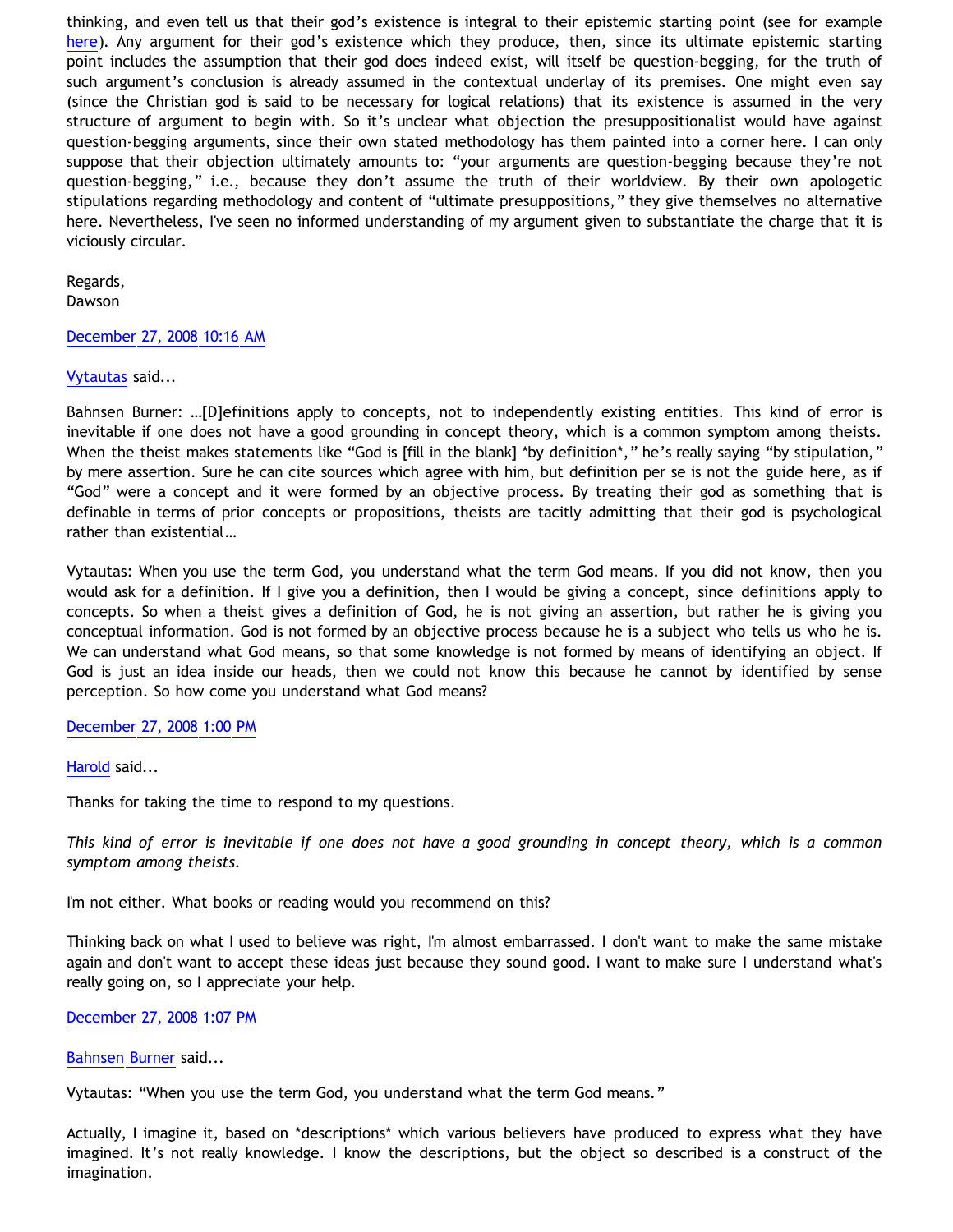thinking, and even tell us that their god's existence is integral to their epistemic starting point (see for example [here](http://bahnsenburner.blogspot.com/2008/10/reply-to-tennant-on-theistic.html)). Any argument for their god's existence which they produce, then, since its ultimate epistemic starting point includes the assumption that their god does indeed exist, will itself be question-begging, for the truth of such argument's conclusion is already assumed in the contextual underlay of its premises. One might even say (since the Christian god is said to be necessary for logical relations) that its existence is assumed in the very structure of argument to begin with. So it's unclear what objection the presuppositionalist would have against question-begging arguments, since their own stated methodology has them painted into a corner here. I can only suppose that their objection ultimately amounts to: "your arguments are question-begging because they're not question-begging," i.e., because they don't assume the truth of their worldview. By their own apologetic stipulations regarding methodology and content of "ultimate presuppositions," they give themselves no alternative here. Nevertheless, I've seen no informed understanding of my argument given to substantiate the charge that it is viciously circular.

Regards, Dawson

# [December 27, 2008 10:16 AM](http://bahnsenburner.blogspot.com/2008/12/5622110859452498414)

# [Vytautas](http://www.blogger.com/profile/10563655929016752682) said...

Bahnsen Burner: …[D]efinitions apply to concepts, not to independently existing entities. This kind of error is inevitable if one does not have a good grounding in concept theory, which is a common symptom among theists. When the theist makes statements like "God is [fill in the blank] \*by definition\*," he's really saying "by stipulation," by mere assertion. Sure he can cite sources which agree with him, but definition per se is not the guide here, as if "God" were a concept and it were formed by an objective process. By treating their god as something that is definable in terms of prior concepts or propositions, theists are tacitly admitting that their god is psychological rather than existential…

Vytautas: When you use the term God, you understand what the term God means. If you did not know, then you would ask for a definition. If I give you a definition, then I would be giving a concept, since definitions apply to concepts. So when a theist gives a definition of God, he is not giving an assertion, but rather he is giving you conceptual information. God is not formed by an objective process because he is a subject who tells us who he is. We can understand what God means, so that some knowledge is not formed by means of identifying an object. If God is just an idea inside our heads, then we could not know this because he cannot by identified by sense perception. So how come you understand what God means?

### [December 27, 2008 1:00 PM](http://bahnsenburner.blogspot.com/2008/12/7551326817258695641)

### [Harold](http://www.blogger.com/profile/10897769844874861468) said...

Thanks for taking the time to respond to my questions.

*This kind of error is inevitable if one does not have a good grounding in concept theory, which is a common symptom among theists.*

I'm not either. What books or reading would you recommend on this?

Thinking back on what I used to believe was right, I'm almost embarrassed. I don't want to make the same mistake again and don't want to accept these ideas just because they sound good. I want to make sure I understand what's really going on, so I appreciate your help.

### [December 27, 2008 1:07 PM](http://bahnsenburner.blogspot.com/2008/12/5608110533565884861)

[Bahnsen Burner](http://www.blogger.com/profile/11030029491768748360) said...

Vytautas: "When you use the term God, you understand what the term God means."

Actually, I imagine it, based on \*descriptions\* which various believers have produced to express what they have imagined. It's not really knowledge. I know the descriptions, but the object so described is a construct of the imagination.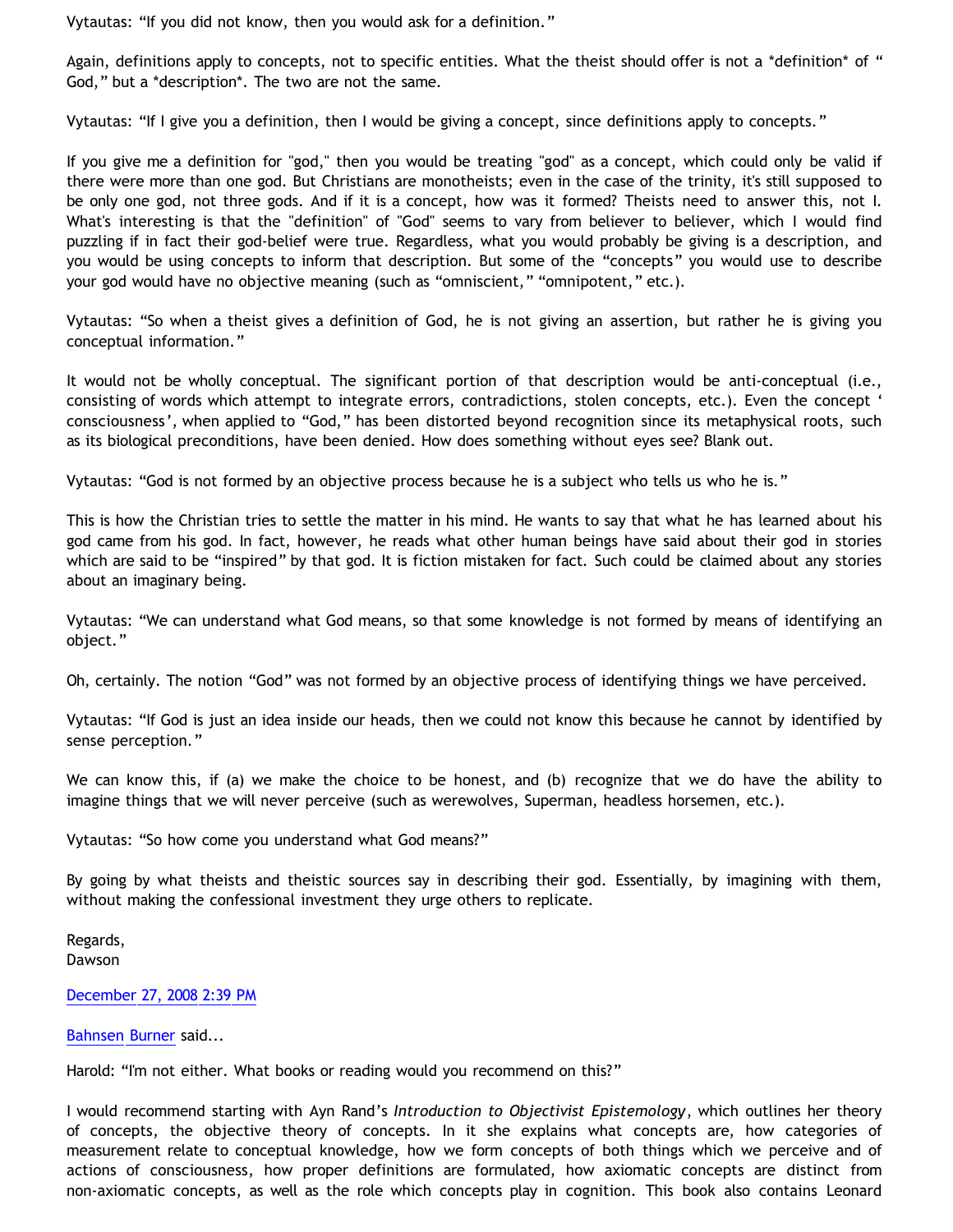Vytautas: "If you did not know, then you would ask for a definition."

Again, definitions apply to concepts, not to specific entities. What the theist should offer is not a \*definition\* of " God," but a \*description\*. The two are not the same.

Vytautas: "If I give you a definition, then I would be giving a concept, since definitions apply to concepts."

If you give me a definition for "god," then you would be treating "god" as a concept, which could only be valid if there were more than one god. But Christians are monotheists; even in the case of the trinity, it's still supposed to be only one god, not three gods. And if it is a concept, how was it formed? Theists need to answer this, not I. What's interesting is that the "definition" of "God" seems to vary from believer to believer, which I would find puzzling if in fact their god-belief were true. Regardless, what you would probably be giving is a description, and you would be using concepts to inform that description. But some of the "concepts" you would use to describe your god would have no objective meaning (such as "omniscient," "omnipotent," etc.).

Vytautas: "So when a theist gives a definition of God, he is not giving an assertion, but rather he is giving you conceptual information."

It would not be wholly conceptual. The significant portion of that description would be anti-conceptual (i.e., consisting of words which attempt to integrate errors, contradictions, stolen concepts, etc.). Even the concept ' consciousness', when applied to "God," has been distorted beyond recognition since its metaphysical roots, such as its biological preconditions, have been denied. How does something without eyes see? Blank out.

Vytautas: "God is not formed by an objective process because he is a subject who tells us who he is."

This is how the Christian tries to settle the matter in his mind. He wants to say that what he has learned about his god came from his god. In fact, however, he reads what other human beings have said about their god in stories which are said to be "inspired" by that god. It is fiction mistaken for fact. Such could be claimed about any stories about an imaginary being.

Vytautas: "We can understand what God means, so that some knowledge is not formed by means of identifying an object."

Oh, certainly. The notion "God" was not formed by an objective process of identifying things we have perceived.

Vytautas: "If God is just an idea inside our heads, then we could not know this because he cannot by identified by sense perception."

We can know this, if (a) we make the choice to be honest, and (b) recognize that we do have the ability to imagine things that we will never perceive (such as werewolves, Superman, headless horsemen, etc.).

Vytautas: "So how come you understand what God means?"

By going by what theists and theistic sources say in describing their god. Essentially, by imagining with them, without making the confessional investment they urge others to replicate.

Regards, Dawson

[December 27, 2008 2:39 PM](http://bahnsenburner.blogspot.com/2008/12/5869725311339272187)

[Bahnsen Burner](http://www.blogger.com/profile/11030029491768748360) said...

Harold: "I'm not either. What books or reading would you recommend on this?"

I would recommend starting with Ayn Rand's *Introduction to Objectivist Epistemology*, which outlines her theory of concepts, the objective theory of concepts. In it she explains what concepts are, how categories of measurement relate to conceptual knowledge, how we form concepts of both things which we perceive and of actions of consciousness, how proper definitions are formulated, how axiomatic concepts are distinct from non-axiomatic concepts, as well as the role which concepts play in cognition. This book also contains Leonard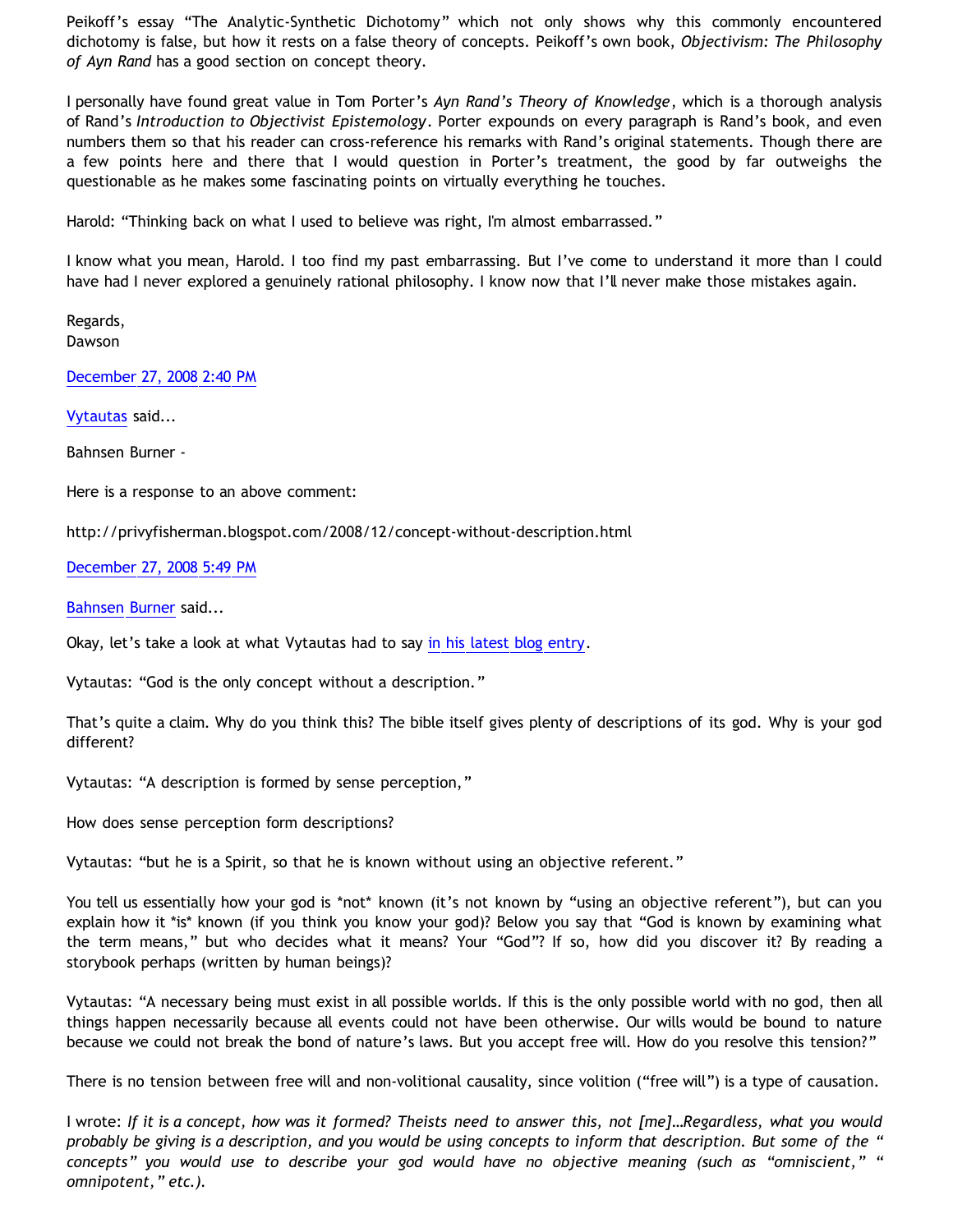Peikoff's essay "The Analytic-Synthetic Dichotomy" which not only shows why this commonly encountered dichotomy is false, but how it rests on a false theory of concepts. Peikoff's own book, *Objectivism: The Philosophy of Ayn Rand* has a good section on concept theory.

I personally have found great value in Tom Porter's *Ayn Rand's Theory of Knowledge*, which is a thorough analysis of Rand's *Introduction to Objectivist Epistemology*. Porter expounds on every paragraph is Rand's book, and even numbers them so that his reader can cross-reference his remarks with Rand's original statements. Though there are a few points here and there that I would question in Porter's treatment, the good by far outweighs the questionable as he makes some fascinating points on virtually everything he touches.

Harold: "Thinking back on what I used to believe was right, I'm almost embarrassed."

I know what you mean, Harold. I too find my past embarrassing. But I've come to understand it more than I could have had I never explored a genuinely rational philosophy. I know now that I'll never make those mistakes again.

Regards, Dawson

[December 27, 2008 2:40 PM](http://bahnsenburner.blogspot.com/2008/12/1435848602389052070)

[Vytautas](http://www.blogger.com/profile/10563655929016752682) said...

Bahnsen Burner -

Here is a response to an above comment:

<http://privyfisherman.blogspot.com/2008/12/concept-without-description.html>

[December 27, 2008 5:49 PM](http://bahnsenburner.blogspot.com/2008/12/5815875881840324451)

[Bahnsen Burner](http://www.blogger.com/profile/11030029491768748360) said...

Okay, let's take a look at what Vytautas had to say [in his latest blog entry](http://privyfisherman.blogspot.com/2008/12/concept-without-description.html).

Vytautas: "God is the only concept without a description."

That's quite a claim. Why do you think this? The bible itself gives plenty of descriptions of its god. Why is your god different?

Vytautas: "A description is formed by sense perception,"

How does sense perception form descriptions?

Vytautas: "but he is a Spirit, so that he is known without using an objective referent."

You tell us essentially how your god is \*not\* known (it's not known by "using an objective referent"), but can you explain how it \*is\* known (if you think you know your god)? Below you say that "God is known by examining what the term means," but who decides what it means? Your "God"? If so, how did you discover it? By reading a storybook perhaps (written by human beings)?

Vytautas: "A necessary being must exist in all possible worlds. If this is the only possible world with no god, then all things happen necessarily because all events could not have been otherwise. Our wills would be bound to nature because we could not break the bond of nature's laws. But you accept free will. How do you resolve this tension?"

There is no tension between free will and non-volitional causality, since volition ("free will") is a type of causation.

I wrote: *If it is a concept, how was it formed? Theists need to answer this, not [me]…Regardless, what you would probably be giving is a description, and you would be using concepts to inform that description. But some of the " concepts" you would use to describe your god would have no objective meaning (such as "omniscient," " omnipotent," etc.).*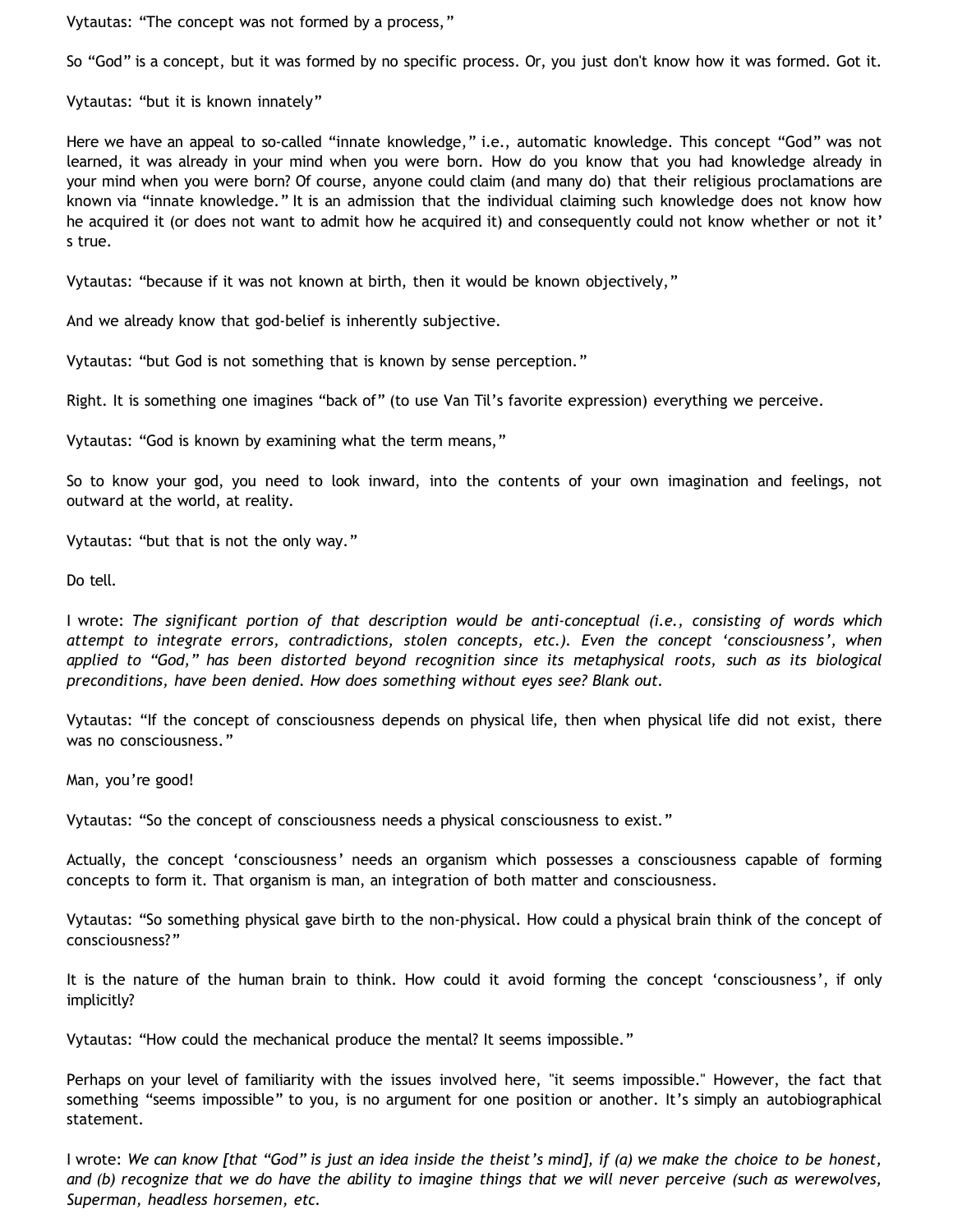Vytautas: "The concept was not formed by a process,"

So "God" is a concept, but it was formed by no specific process. Or, you just don't know how it was formed. Got it.

Vytautas: "but it is known innately"

Here we have an appeal to so-called "innate knowledge," i.e., automatic knowledge. This concept "God" was not learned, it was already in your mind when you were born. How do you know that you had knowledge already in your mind when you were born? Of course, anyone could claim (and many do) that their religious proclamations are known via "innate knowledge." It is an admission that the individual claiming such knowledge does not know how he acquired it (or does not want to admit how he acquired it) and consequently could not know whether or not it' s true.

Vytautas: "because if it was not known at birth, then it would be known objectively,"

And we already know that god-belief is inherently subjective.

Vytautas: "but God is not something that is known by sense perception."

Right. It is something one imagines "back of" (to use Van Til's favorite expression) everything we perceive.

Vytautas: "God is known by examining what the term means,"

So to know your god, you need to look inward, into the contents of your own imagination and feelings, not outward at the world, at reality.

Vytautas: "but that is not the only way."

Do tell.

I wrote: *The significant portion of that description would be anti-conceptual (i.e., consisting of words which attempt to integrate errors, contradictions, stolen concepts, etc.). Even the concept 'consciousness', when applied to "God," has been distorted beyond recognition since its metaphysical roots, such as its biological preconditions, have been denied. How does something without eyes see? Blank out.*

Vytautas: "If the concept of consciousness depends on physical life, then when physical life did not exist, there was no consciousness."

Man, you're good!

Vytautas: "So the concept of consciousness needs a physical consciousness to exist."

Actually, the concept 'consciousness' needs an organism which possesses a consciousness capable of forming concepts to form it. That organism is man, an integration of both matter and consciousness.

Vytautas: "So something physical gave birth to the non-physical. How could a physical brain think of the concept of consciousness?"

It is the nature of the human brain to think. How could it avoid forming the concept 'consciousness', if only implicitly?

Vytautas: "How could the mechanical produce the mental? It seems impossible."

Perhaps on your level of familiarity with the issues involved here, "it seems impossible." However, the fact that something "seems impossible" to you, is no argument for one position or another. It's simply an autobiographical statement.

I wrote: *We can know [that "God" is just an idea inside the theist's mind], if (a) we make the choice to be honest, and (b) recognize that we do have the ability to imagine things that we will never perceive (such as werewolves, Superman, headless horsemen, etc.*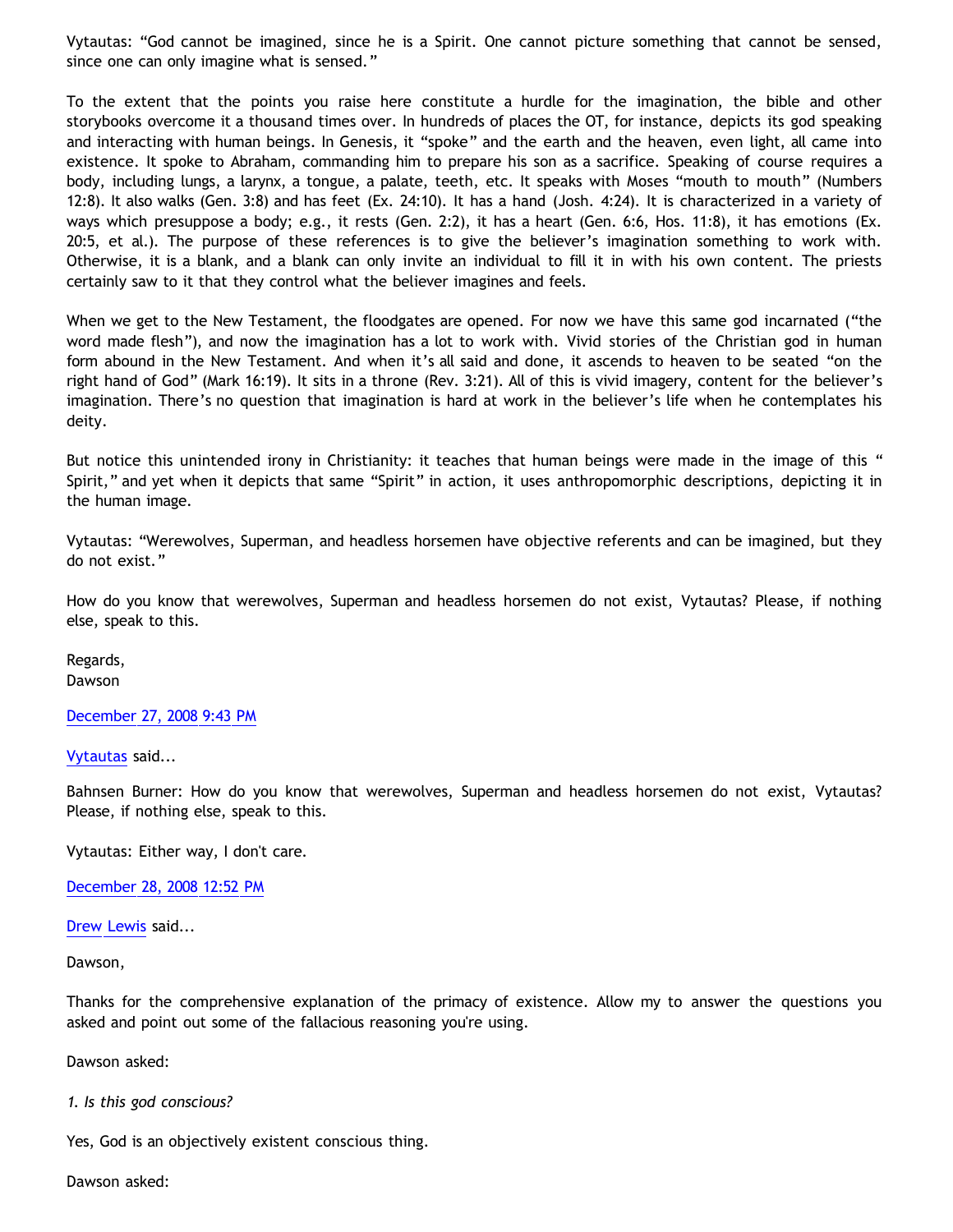Vytautas: "God cannot be imagined, since he is a Spirit. One cannot picture something that cannot be sensed, since one can only imagine what is sensed."

To the extent that the points you raise here constitute a hurdle for the imagination, the bible and other storybooks overcome it a thousand times over. In hundreds of places the OT, for instance, depicts its god speaking and interacting with human beings. In Genesis, it "spoke" and the earth and the heaven, even light, all came into existence. It spoke to Abraham, commanding him to prepare his son as a sacrifice. Speaking of course requires a body, including lungs, a larynx, a tongue, a palate, teeth, etc. It speaks with Moses "mouth to mouth" (Numbers 12:8). It also walks (Gen. 3:8) and has feet (Ex. 24:10). It has a hand (Josh. 4:24). It is characterized in a variety of ways which presuppose a body; e.g., it rests (Gen. 2:2), it has a heart (Gen. 6:6, Hos. 11:8), it has emotions (Ex. 20:5, et al.). The purpose of these references is to give the believer's imagination something to work with. Otherwise, it is a blank, and a blank can only invite an individual to fill it in with his own content. The priests certainly saw to it that they control what the believer imagines and feels.

When we get to the New Testament, the floodgates are opened. For now we have this same god incarnated ("the word made flesh"), and now the imagination has a lot to work with. Vivid stories of the Christian god in human form abound in the New Testament. And when it's all said and done, it ascends to heaven to be seated "on the right hand of God" (Mark 16:19). It sits in a throne (Rev. 3:21). All of this is vivid imagery, content for the believer's imagination. There's no question that imagination is hard at work in the believer's life when he contemplates his deity.

But notice this unintended irony in Christianity: it teaches that human beings were made in the image of this " Spirit," and yet when it depicts that same "Spirit" in action, it uses anthropomorphic descriptions, depicting it in the human image.

Vytautas: "Werewolves, Superman, and headless horsemen have objective referents and can be imagined, but they do not exist."

How do you know that werewolves, Superman and headless horsemen do not exist, Vytautas? Please, if nothing else, speak to this.

Regards, Dawson

#### [December 27, 2008 9:43 PM](http://bahnsenburner.blogspot.com/2008/12/261006976889183227)

#### [Vytautas](http://www.blogger.com/profile/10563655929016752682) said...

Bahnsen Burner: How do you know that werewolves, Superman and headless horsemen do not exist, Vytautas? Please, if nothing else, speak to this.

Vytautas: Either way, I don't care.

[December 28, 2008 12:52 PM](http://bahnsenburner.blogspot.com/2008/12/223142183016190247)

[Drew Lewis](http://www.blogger.com/profile/06553828200280746250) said...

Dawson,

Thanks for the comprehensive explanation of the primacy of existence. Allow my to answer the questions you asked and point out some of the fallacious reasoning you're using.

Dawson asked:

### *1. Is this god conscious?*

Yes, God is an objectively existent conscious thing.

Dawson asked: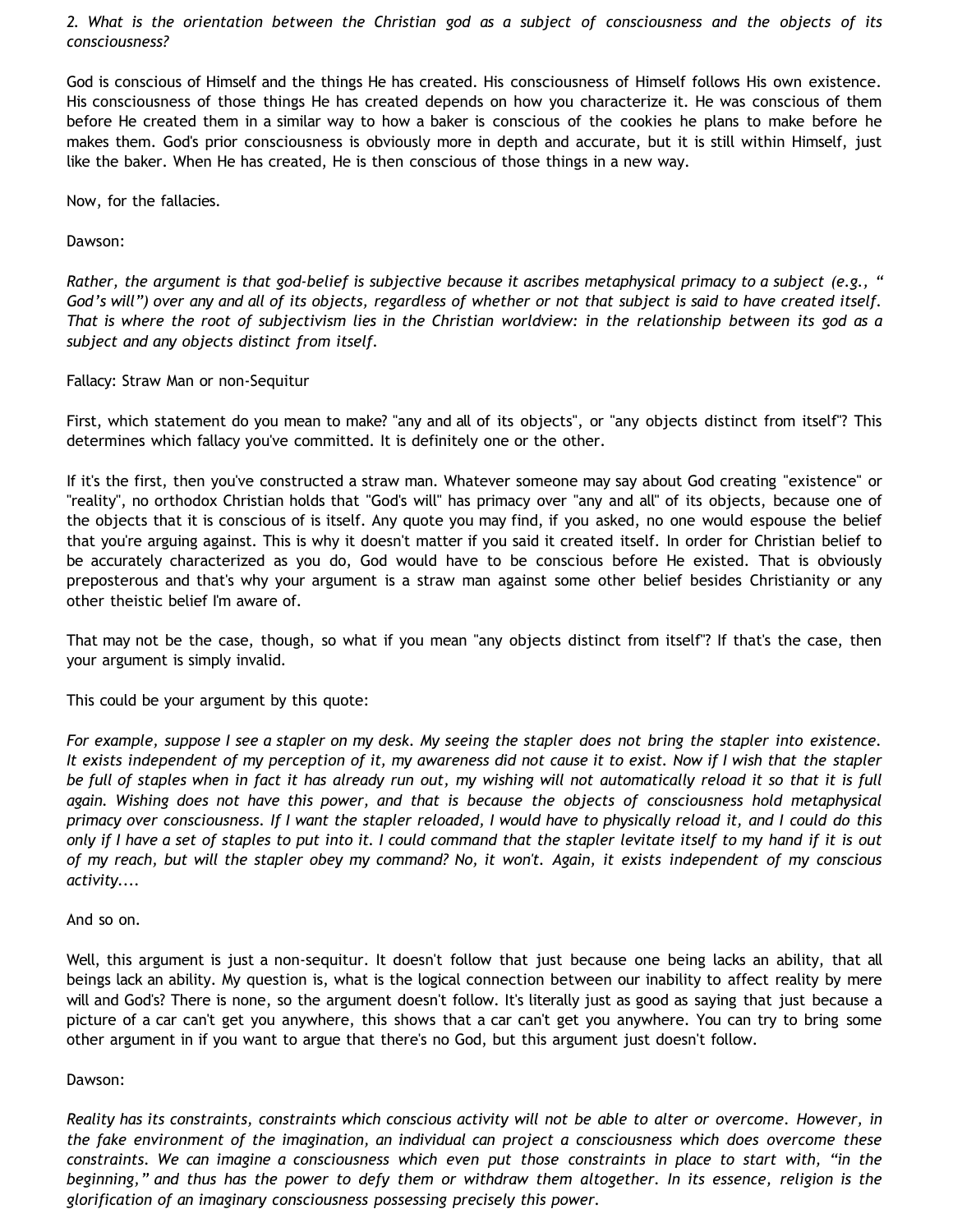*2. What is the orientation between the Christian god as a subject of consciousness and the objects of its consciousness?*

God is conscious of Himself and the things He has created. His consciousness of Himself follows His own existence. His consciousness of those things He has created depends on how you characterize it. He was conscious of them before He created them in a similar way to how a baker is conscious of the cookies he plans to make before he makes them. God's prior consciousness is obviously more in depth and accurate, but it is still within Himself, just like the baker. When He has created, He is then conscious of those things in a new way.

Now, for the fallacies.

Dawson:

*Rather, the argument is that god-belief is subjective because it ascribes metaphysical primacy to a subject (e.g., " God's will") over any and all of its objects, regardless of whether or not that subject is said to have created itself. That is where the root of subjectivism lies in the Christian worldview: in the relationship between its god as a subject and any objects distinct from itself.*

Fallacy: Straw Man or non-Sequitur

First, which statement do you mean to make? "any and all of its objects", or "any objects distinct from itself"? This determines which fallacy you've committed. It is definitely one or the other.

If it's the first, then you've constructed a straw man. Whatever someone may say about God creating "existence" or "reality", no orthodox Christian holds that "God's will" has primacy over "any and all" of its objects, because one of the objects that it is conscious of is itself. Any quote you may find, if you asked, no one would espouse the belief that you're arguing against. This is why it doesn't matter if you said it created itself. In order for Christian belief to be accurately characterized as you do, God would have to be conscious before He existed. That is obviously preposterous and that's why your argument is a straw man against some other belief besides Christianity or any other theistic belief I'm aware of.

That may not be the case, though, so what if you mean "any objects distinct from itself"? If that's the case, then your argument is simply invalid.

This could be your argument by this quote:

*For example, suppose I see a stapler on my desk. My seeing the stapler does not bring the stapler into existence. It exists independent of my perception of it, my awareness did not cause it to exist. Now if I wish that the stapler be full of staples when in fact it has already run out, my wishing will not automatically reload it so that it is full again. Wishing does not have this power, and that is because the objects of consciousness hold metaphysical primacy over consciousness. If I want the stapler reloaded, I would have to physically reload it, and I could do this only if I have a set of staples to put into it. I could command that the stapler levitate itself to my hand if it is out of my reach, but will the stapler obey my command? No, it won't. Again, it exists independent of my conscious activity....*

And so on.

Well, this argument is just a non-sequitur. It doesn't follow that just because one being lacks an ability, that all beings lack an ability. My question is, what is the logical connection between our inability to affect reality by mere will and God's? There is none, so the argument doesn't follow. It's literally just as good as saying that just because a picture of a car can't get you anywhere, this shows that a car can't get you anywhere. You can try to bring some other argument in if you want to argue that there's no God, but this argument just doesn't follow.

#### Dawson:

*Reality has its constraints, constraints which conscious activity will not be able to alter or overcome. However, in the fake environment of the imagination, an individual can project a consciousness which does overcome these constraints. We can imagine a consciousness which even put those constraints in place to start with, "in the beginning," and thus has the power to defy them or withdraw them altogether. In its essence, religion is the glorification of an imaginary consciousness possessing precisely this power.*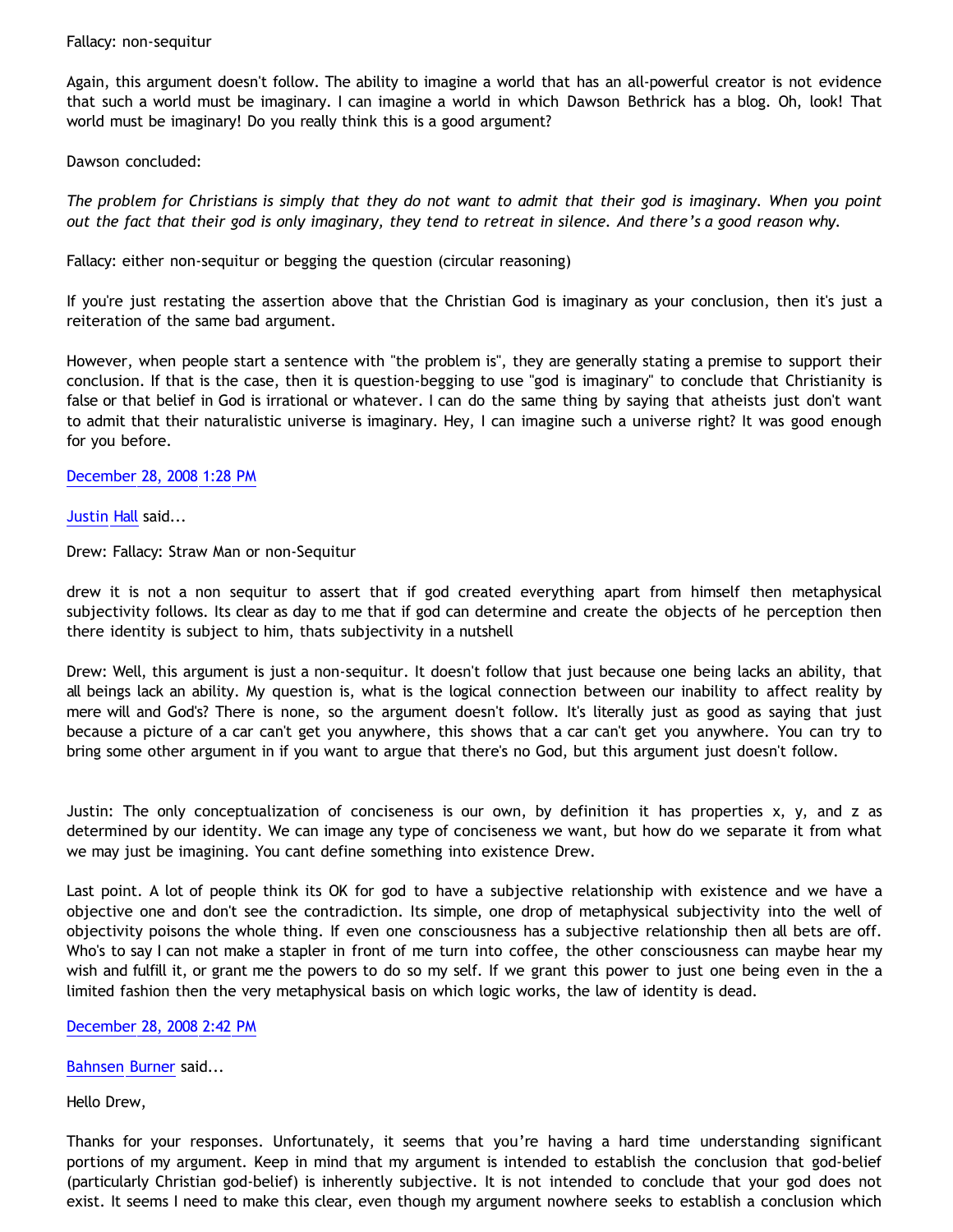# Fallacy: non-sequitur

Again, this argument doesn't follow. The ability to imagine a world that has an all-powerful creator is not evidence that such a world must be imaginary. I can imagine a world in which Dawson Bethrick has a blog. Oh, look! That world must be imaginary! Do you really think this is a good argument?

# Dawson concluded:

*The problem for Christians is simply that they do not want to admit that their god is imaginary. When you point out the fact that their god is only imaginary, they tend to retreat in silence. And there's a good reason why.*

Fallacy: either non-sequitur or begging the question (circular reasoning)

If you're just restating the assertion above that the Christian God is imaginary as your conclusion, then it's just a reiteration of the same bad argument.

However, when people start a sentence with "the problem is", they are generally stating a premise to support their conclusion. If that is the case, then it is question-begging to use "god is imaginary" to conclude that Christianity is false or that belief in God is irrational or whatever. I can do the same thing by saying that atheists just don't want to admit that their naturalistic universe is imaginary. Hey, I can imagine such a universe right? It was good enough for you before.

[December 28, 2008 1:28 PM](http://bahnsenburner.blogspot.com/2008/12/102796708329978126)

# [Justin Hall](http://www.blogger.com/profile/17804641315202800289) said...

Drew: Fallacy: Straw Man or non-Sequitur

drew it is not a non sequitur to assert that if god created everything apart from himself then metaphysical subjectivity follows. Its clear as day to me that if god can determine and create the objects of he perception then there identity is subject to him, thats subjectivity in a nutshell

Drew: Well, this argument is just a non-sequitur. It doesn't follow that just because one being lacks an ability, that all beings lack an ability. My question is, what is the logical connection between our inability to affect reality by mere will and God's? There is none, so the argument doesn't follow. It's literally just as good as saying that just because a picture of a car can't get you anywhere, this shows that a car can't get you anywhere. You can try to bring some other argument in if you want to argue that there's no God, but this argument just doesn't follow.

Justin: The only conceptualization of conciseness is our own, by definition it has properties x, y, and z as determined by our identity. We can image any type of conciseness we want, but how do we separate it from what we may just be imagining. You cant define something into existence Drew.

Last point. A lot of people think its OK for god to have a subjective relationship with existence and we have a objective one and don't see the contradiction. Its simple, one drop of metaphysical subjectivity into the well of objectivity poisons the whole thing. If even one consciousness has a subjective relationship then all bets are off. Who's to say I can not make a stapler in front of me turn into coffee, the other consciousness can maybe hear my wish and fulfill it, or grant me the powers to do so my self. If we grant this power to just one being even in the a limited fashion then the very metaphysical basis on which logic works, the law of identity is dead.

# [December 28, 2008 2:42 PM](http://bahnsenburner.blogspot.com/2008/12/1679015470086450922)

[Bahnsen Burner](http://www.blogger.com/profile/11030029491768748360) said...

Hello Drew,

Thanks for your responses. Unfortunately, it seems that you're having a hard time understanding significant portions of my argument. Keep in mind that my argument is intended to establish the conclusion that god-belief (particularly Christian god-belief) is inherently subjective. It is not intended to conclude that your god does not exist. It seems I need to make this clear, even though my argument nowhere seeks to establish a conclusion which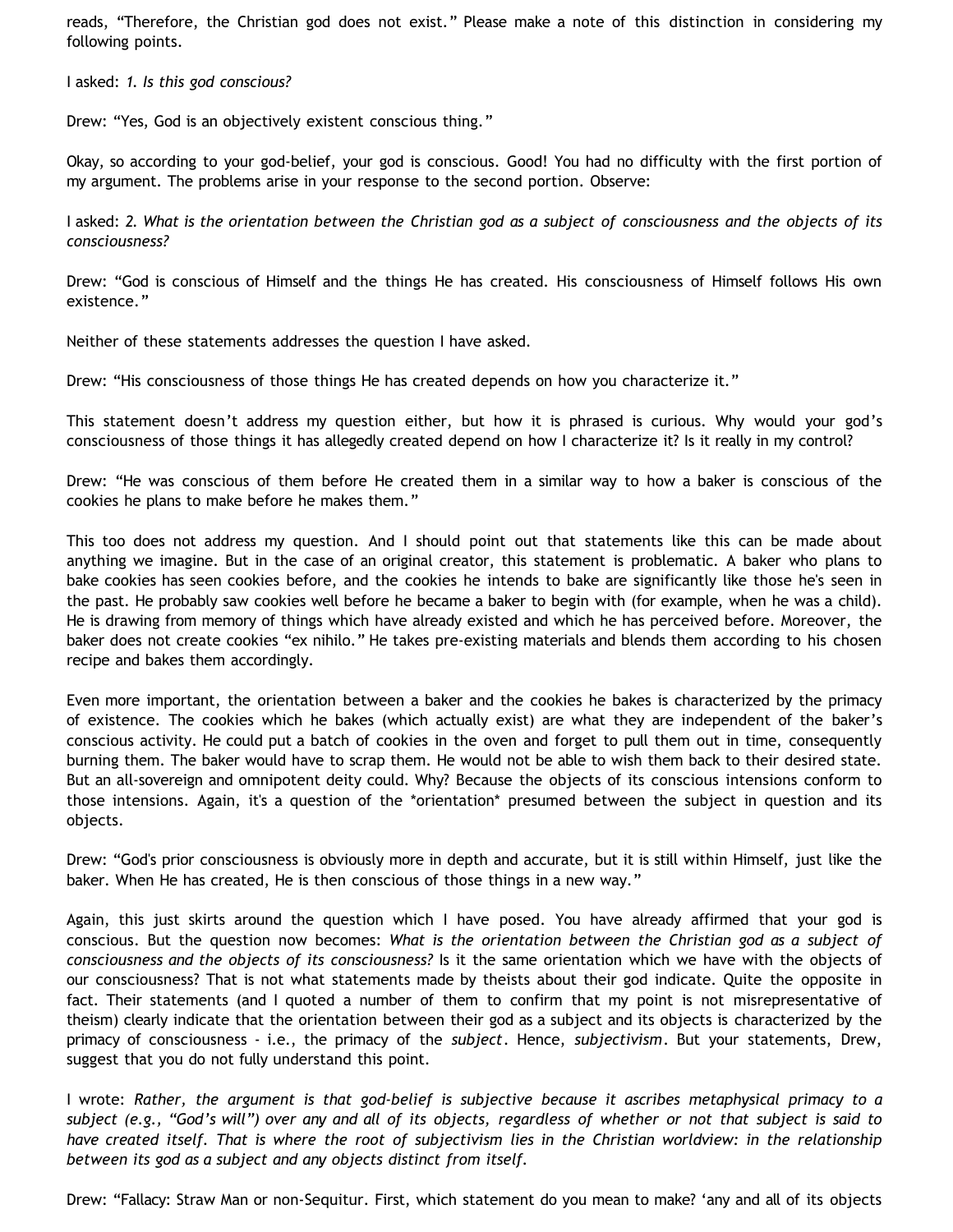reads, "Therefore, the Christian god does not exist." Please make a note of this distinction in considering my following points.

I asked: *1. Is this god conscious?*

Drew: "Yes, God is an objectively existent conscious thing."

Okay, so according to your god-belief, your god is conscious. Good! You had no difficulty with the first portion of my argument. The problems arise in your response to the second portion. Observe:

I asked: *2. What is the orientation between the Christian god as a subject of consciousness and the objects of its consciousness?*

Drew: "God is conscious of Himself and the things He has created. His consciousness of Himself follows His own existence."

Neither of these statements addresses the question I have asked.

Drew: "His consciousness of those things He has created depends on how you characterize it."

This statement doesn't address my question either, but how it is phrased is curious. Why would your god's consciousness of those things it has allegedly created depend on how I characterize it? Is it really in my control?

Drew: "He was conscious of them before He created them in a similar way to how a baker is conscious of the cookies he plans to make before he makes them."

This too does not address my question. And I should point out that statements like this can be made about anything we imagine. But in the case of an original creator, this statement is problematic. A baker who plans to bake cookies has seen cookies before, and the cookies he intends to bake are significantly like those he's seen in the past. He probably saw cookies well before he became a baker to begin with (for example, when he was a child). He is drawing from memory of things which have already existed and which he has perceived before. Moreover, the baker does not create cookies "ex nihilo." He takes pre-existing materials and blends them according to his chosen recipe and bakes them accordingly.

Even more important, the orientation between a baker and the cookies he bakes is characterized by the primacy of existence. The cookies which he bakes (which actually exist) are what they are independent of the baker's conscious activity. He could put a batch of cookies in the oven and forget to pull them out in time, consequently burning them. The baker would have to scrap them. He would not be able to wish them back to their desired state. But an all-sovereign and omnipotent deity could. Why? Because the objects of its conscious intensions conform to those intensions. Again, it's a question of the \*orientation\* presumed between the subject in question and its objects.

Drew: "God's prior consciousness is obviously more in depth and accurate, but it is still within Himself, just like the baker. When He has created, He is then conscious of those things in a new way."

Again, this just skirts around the question which I have posed. You have already affirmed that your god is conscious. But the question now becomes: *What is the orientation between the Christian god as a subject of consciousness and the objects of its consciousness?* Is it the same orientation which we have with the objects of our consciousness? That is not what statements made by theists about their god indicate. Quite the opposite in fact. Their statements (and I quoted a number of them to confirm that my point is not misrepresentative of theism) clearly indicate that the orientation between their god as a subject and its objects is characterized by the primacy of consciousness - i.e., the primacy of the *subject*. Hence, *subjectivism*. But your statements, Drew, suggest that you do not fully understand this point.

I wrote: *Rather, the argument is that god-belief is subjective because it ascribes metaphysical primacy to a subject (e.g., "God's will") over any and all of its objects, regardless of whether or not that subject is said to have created itself. That is where the root of subjectivism lies in the Christian worldview: in the relationship between its god as a subject and any objects distinct from itself.*

Drew: "Fallacy: Straw Man or non-Sequitur. First, which statement do you mean to make? 'any and all of its objects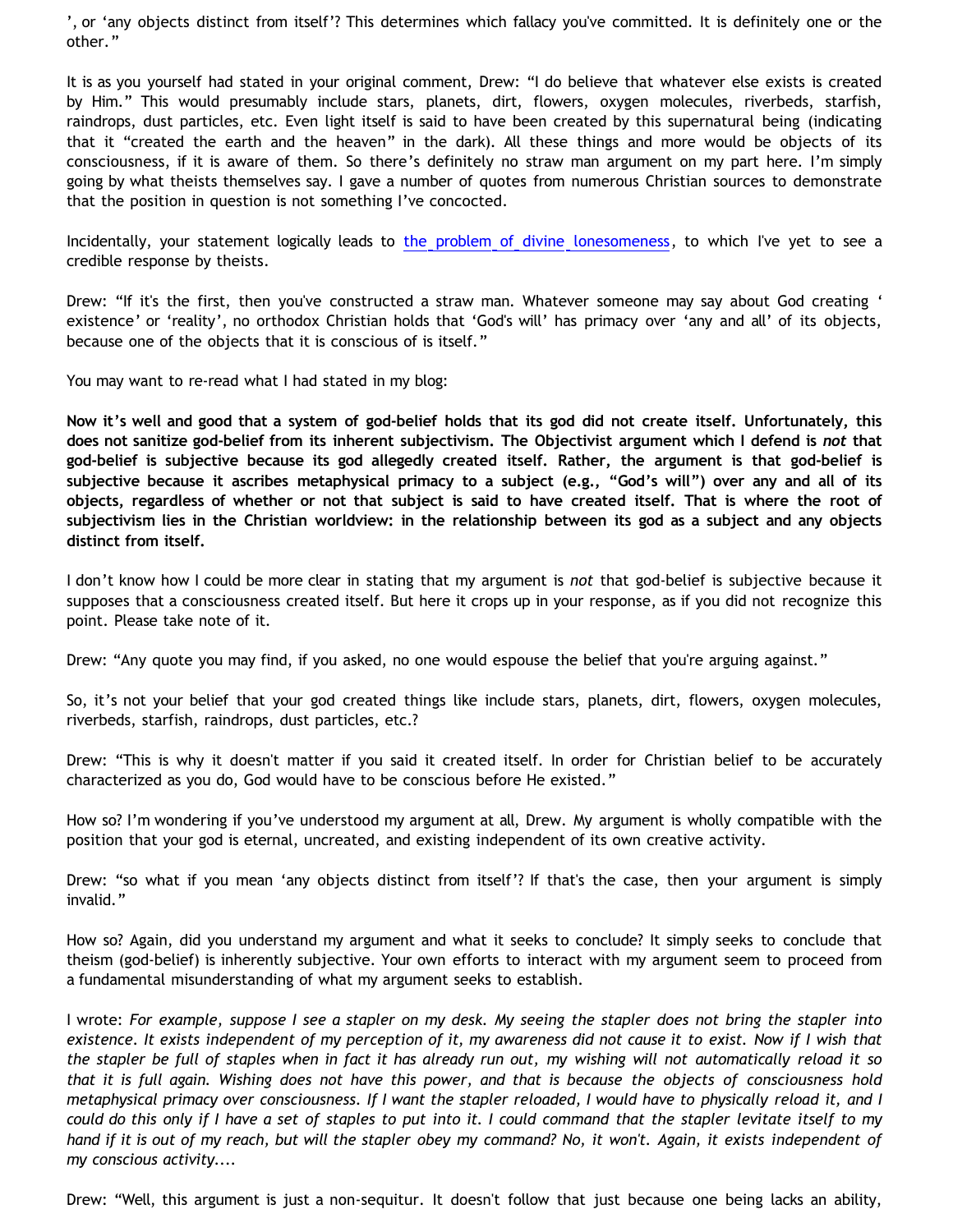', or 'any objects distinct from itself'? This determines which fallacy you've committed. It is definitely one or the other."

It is as you yourself had stated in your original comment, Drew: "I do believe that whatever else exists is created by Him." This would presumably include stars, planets, dirt, flowers, oxygen molecules, riverbeds, starfish, raindrops, dust particles, etc. Even light itself is said to have been created by this supernatural being (indicating that it "created the earth and the heaven" in the dark). All these things and more would be objects of its consciousness, if it is aware of them. So there's definitely no straw man argument on my part here. I'm simply going by what theists themselves say. I gave a number of quotes from numerous Christian sources to demonstrate that the position in question is not something I've concocted.

Incidentally, your statement logically leads to [the problem of divine lonesomeness](http://bahnsenburner.blogspot.com/2008/07/before-beginning-problem-of-divine.html), to which I've yet to see a credible response by theists.

Drew: "If it's the first, then you've constructed a straw man. Whatever someone may say about God creating ' existence' or 'reality', no orthodox Christian holds that 'God's will' has primacy over 'any and all' of its objects, because one of the objects that it is conscious of is itself."

You may want to re-read what I had stated in my blog:

**Now it's well and good that a system of god-belief holds that its god did not create itself. Unfortunately, this does not sanitize god-belief from its inherent subjectivism. The Objectivist argument which I defend is** *not* **that god-belief is subjective because its god allegedly created itself. Rather, the argument is that god-belief is subjective because it ascribes metaphysical primacy to a subject (e.g., "God's will") over any and all of its objects, regardless of whether or not that subject is said to have created itself. That is where the root of subjectivism lies in the Christian worldview: in the relationship between its god as a subject and any objects distinct from itself.**

I don't know how I could be more clear in stating that my argument is *not* that god-belief is subjective because it supposes that a consciousness created itself. But here it crops up in your response, as if you did not recognize this point. Please take note of it.

Drew: "Any quote you may find, if you asked, no one would espouse the belief that you're arguing against."

So, it's not your belief that your god created things like include stars, planets, dirt, flowers, oxygen molecules, riverbeds, starfish, raindrops, dust particles, etc.?

Drew: "This is why it doesn't matter if you said it created itself. In order for Christian belief to be accurately characterized as you do, God would have to be conscious before He existed."

How so? I'm wondering if you've understood my argument at all, Drew. My argument is wholly compatible with the position that your god is eternal, uncreated, and existing independent of its own creative activity.

Drew: "so what if you mean 'any objects distinct from itself'? If that's the case, then your argument is simply invalid."

How so? Again, did you understand my argument and what it seeks to conclude? It simply seeks to conclude that theism (god-belief) is inherently subjective. Your own efforts to interact with my argument seem to proceed from a fundamental misunderstanding of what my argument seeks to establish.

I wrote: *For example, suppose I see a stapler on my desk. My seeing the stapler does not bring the stapler into existence. It exists independent of my perception of it, my awareness did not cause it to exist. Now if I wish that the stapler be full of staples when in fact it has already run out, my wishing will not automatically reload it so that it is full again. Wishing does not have this power, and that is because the objects of consciousness hold metaphysical primacy over consciousness. If I want the stapler reloaded, I would have to physically reload it, and I could do this only if I have a set of staples to put into it. I could command that the stapler levitate itself to my hand if it is out of my reach, but will the stapler obey my command? No, it won't. Again, it exists independent of my conscious activity....*

Drew: "Well, this argument is just a non-sequitur. It doesn't follow that just because one being lacks an ability,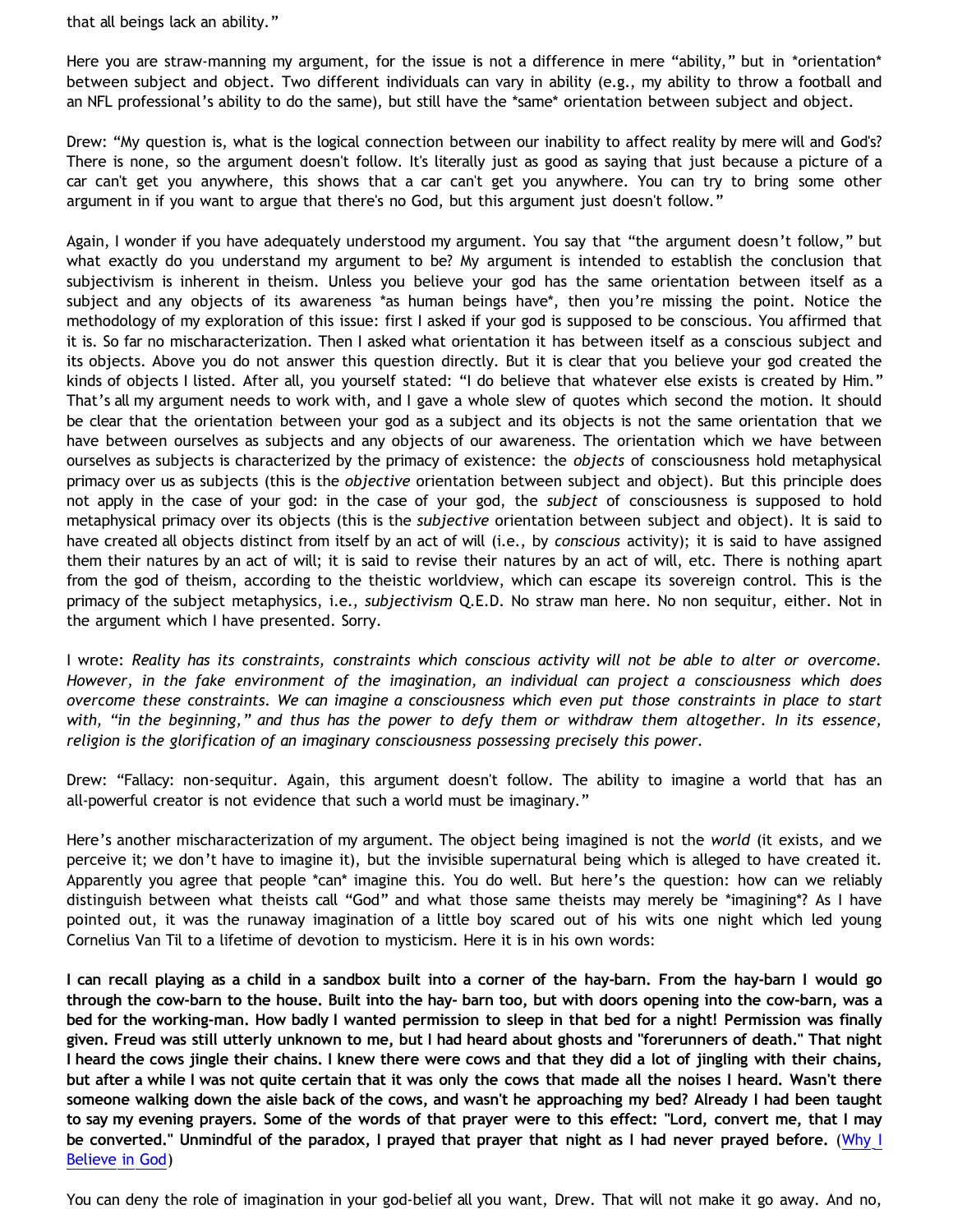that all beings lack an ability."

Here you are straw-manning my argument, for the issue is not a difference in mere "ability," but in \*orientation\* between subject and object. Two different individuals can vary in ability (e.g., my ability to throw a football and an NFL professional's ability to do the same), but still have the \*same\* orientation between subject and object.

Drew: "My question is, what is the logical connection between our inability to affect reality by mere will and God's? There is none, so the argument doesn't follow. It's literally just as good as saying that just because a picture of a car can't get you anywhere, this shows that a car can't get you anywhere. You can try to bring some other argument in if you want to argue that there's no God, but this argument just doesn't follow."

Again, I wonder if you have adequately understood my argument. You say that "the argument doesn't follow," but what exactly do you understand my argument to be? My argument is intended to establish the conclusion that subjectivism is inherent in theism. Unless you believe your god has the same orientation between itself as a subject and any objects of its awareness \*as human beings have\*, then you're missing the point. Notice the methodology of my exploration of this issue: first I asked if your god is supposed to be conscious. You affirmed that it is. So far no mischaracterization. Then I asked what orientation it has between itself as a conscious subject and its objects. Above you do not answer this question directly. But it is clear that you believe your god created the kinds of objects I listed. After all, you yourself stated: "I do believe that whatever else exists is created by Him." That's all my argument needs to work with, and I gave a whole slew of quotes which second the motion. It should be clear that the orientation between your god as a subject and its objects is not the same orientation that we have between ourselves as subjects and any objects of our awareness. The orientation which we have between ourselves as subjects is characterized by the primacy of existence: the *objects* of consciousness hold metaphysical primacy over us as subjects (this is the *objective* orientation between subject and object). But this principle does not apply in the case of your god: in the case of your god, the *subject* of consciousness is supposed to hold metaphysical primacy over its objects (this is the *subjective* orientation between subject and object). It is said to have created all objects distinct from itself by an act of will (i.e., by *conscious* activity); it is said to have assigned them their natures by an act of will; it is said to revise their natures by an act of will, etc. There is nothing apart from the god of theism, according to the theistic worldview, which can escape its sovereign control. This is the primacy of the subject metaphysics, i.e., *subjectivism* Q.E.D. No straw man here. No non sequitur, either. Not in the argument which I have presented. Sorry.

I wrote: *Reality has its constraints, constraints which conscious activity will not be able to alter or overcome. However, in the fake environment of the imagination, an individual can project a consciousness which does overcome these constraints. We can imagine a consciousness which even put those constraints in place to start with, "in the beginning," and thus has the power to defy them or withdraw them altogether. In its essence, religion is the glorification of an imaginary consciousness possessing precisely this power.*

Drew: "Fallacy: non-sequitur. Again, this argument doesn't follow. The ability to imagine a world that has an all-powerful creator is not evidence that such a world must be imaginary."

Here's another mischaracterization of my argument. The object being imagined is not the *world* (it exists, and we perceive it; we don't have to imagine it), but the invisible supernatural being which is alleged to have created it. Apparently you agree that people \*can\* imagine this. You do well. But here's the question: how can we reliably distinguish between what theists call "God" and what those same theists may merely be \*imagining\*? As I have pointed out, it was the runaway imagination of a little boy scared out of his wits one night which led young Cornelius Van Til to a lifetime of devotion to mysticism. Here it is in his own words:

**I can recall playing as a child in a sandbox built into a corner of the hay-barn. From the hay-barn I would go through the cow-barn to the house. Built into the hay- barn too, but with doors opening into the cow-barn, was a bed for the working-man. How badly I wanted permission to sleep in that bed for a night! Permission was finally given. Freud was still utterly unknown to me, but I had heard about ghosts and "forerunners of death." That night I heard the cows jingle their chains. I knew there were cows and that they did a lot of jingling with their chains, but after a while I was not quite certain that it was only the cows that made all the noises I heard. Wasn't there someone walking down the aisle back of the cows, and wasn't he approaching my bed? Already I had been taught to say my evening prayers. Some of the words of that prayer were to this effect: "Lord, convert me, that I may be converted." Unmindful of the paradox, I prayed that prayer that night as I had never prayed before.** ([Why I](http://www.reformed.org/apologetics/index.html?mainframe=/apologetics/why_I_believe_cvt.html) [Believe in God\)](http://www.reformed.org/apologetics/index.html?mainframe=/apologetics/why_I_believe_cvt.html)

You can deny the role of imagination in your god-belief all you want, Drew. That will not make it go away. And no,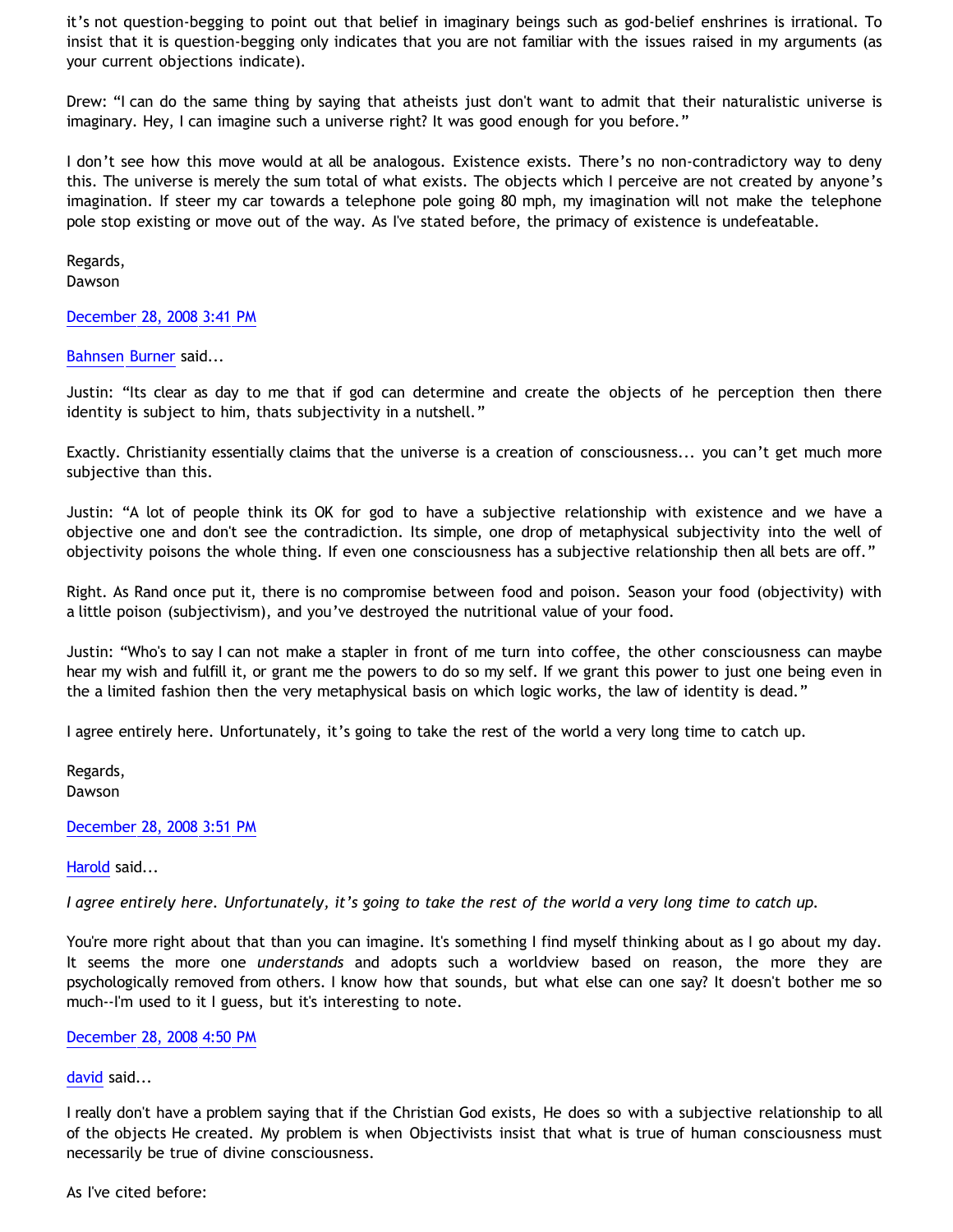it's not question-begging to point out that belief in imaginary beings such as god-belief enshrines is irrational. To insist that it is question-begging only indicates that you are not familiar with the issues raised in my arguments (as your current objections indicate).

Drew: "I can do the same thing by saying that atheists just don't want to admit that their naturalistic universe is imaginary. Hey, I can imagine such a universe right? It was good enough for you before."

I don't see how this move would at all be analogous. Existence exists. There's no non-contradictory way to deny this. The universe is merely the sum total of what exists. The objects which I perceive are not created by anyone's imagination. If steer my car towards a telephone pole going 80 mph, my imagination will not make the telephone pole stop existing or move out of the way. As I've stated before, the primacy of existence is undefeatable.

Regards, Dawson

[December 28, 2008 3:41 PM](http://bahnsenburner.blogspot.com/2008/12/7817997501999500422)

[Bahnsen Burner](http://www.blogger.com/profile/11030029491768748360) said...

Justin: "Its clear as day to me that if god can determine and create the objects of he perception then there identity is subject to him, thats subjectivity in a nutshell."

Exactly. Christianity essentially claims that the universe is a creation of consciousness... you can't get much more subjective than this.

Justin: "A lot of people think its OK for god to have a subjective relationship with existence and we have a objective one and don't see the contradiction. Its simple, one drop of metaphysical subjectivity into the well of objectivity poisons the whole thing. If even one consciousness has a subjective relationship then all bets are off."

Right. As Rand once put it, there is no compromise between food and poison. Season your food (objectivity) with a little poison (subjectivism), and you've destroyed the nutritional value of your food.

Justin: "Who's to say I can not make a stapler in front of me turn into coffee, the other consciousness can maybe hear my wish and fulfill it, or grant me the powers to do so my self. If we grant this power to just one being even in the a limited fashion then the very metaphysical basis on which logic works, the law of identity is dead."

I agree entirely here. Unfortunately, it's going to take the rest of the world a very long time to catch up.

Regards, Dawson

[December 28, 2008 3:51 PM](http://bahnsenburner.blogspot.com/2008/12/4971771495515683248)

[Harold](http://www.blogger.com/profile/10897769844874861468) said...

*I agree entirely here. Unfortunately, it's going to take the rest of the world a very long time to catch up.*

You're more right about that than you can imagine. It's something I find myself thinking about as I go about my day. It seems the more one *understands* and adopts such a worldview based on reason, the more they are psychologically removed from others. I know how that sounds, but what else can one say? It doesn't bother me so much--I'm used to it I guess, but it's interesting to note.

[December 28, 2008 4:50 PM](http://bahnsenburner.blogspot.com/2008/12/6368274001495893207)

### [david](http://www.blogger.com/profile/13714637134009580948) said...

I really don't have a problem saying that if the Christian God exists, He does so with a subjective relationship to all of the objects He created. My problem is when Objectivists insist that what is true of human consciousness must necessarily be true of divine consciousness.

As I've cited before: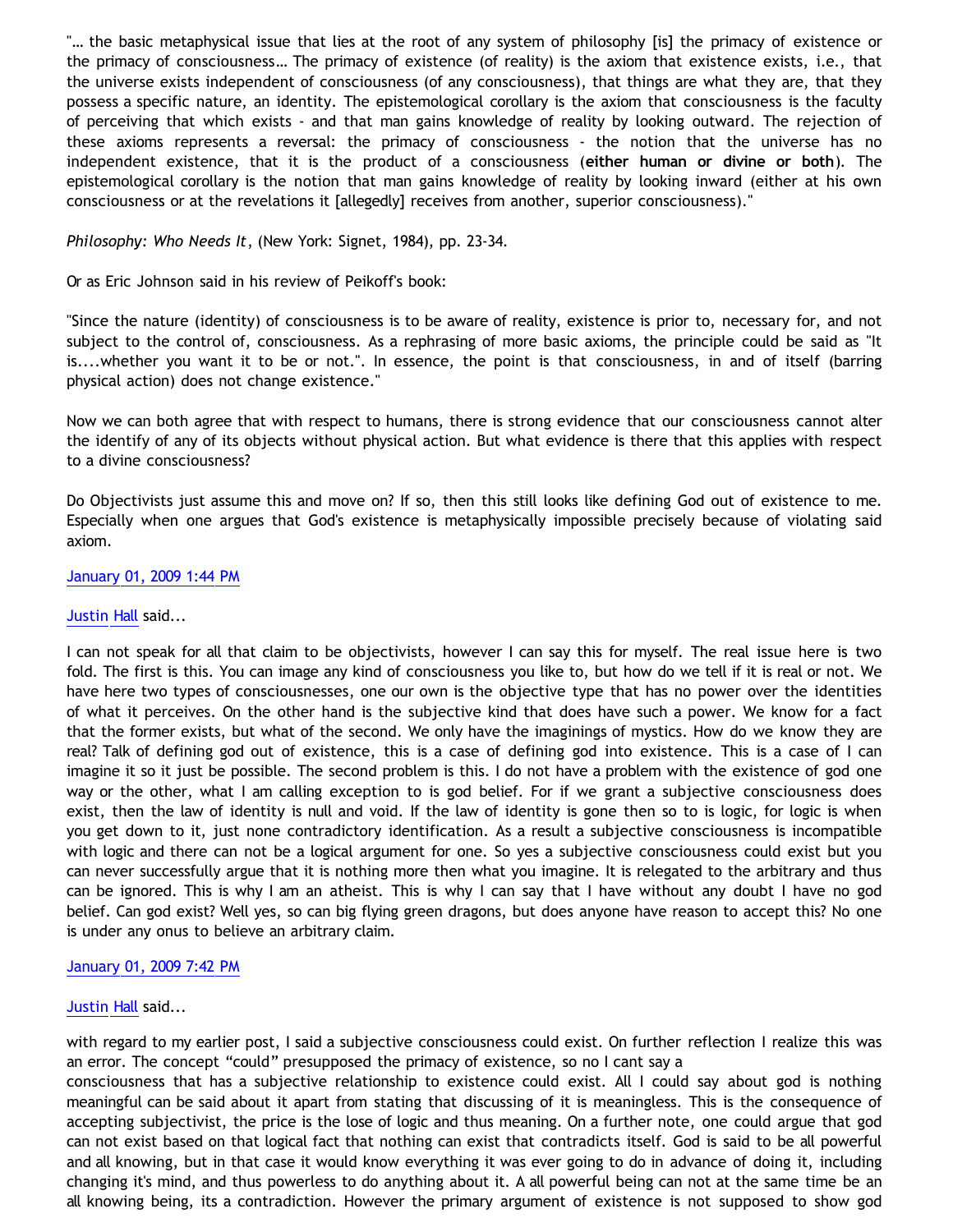"… the basic metaphysical issue that lies at the root of any system of philosophy [is] the primacy of existence or the primacy of consciousness… The primacy of existence (of reality) is the axiom that existence exists, i.e., that the universe exists independent of consciousness (of any consciousness), that things are what they are, that they possess a specific nature, an identity. The epistemological corollary is the axiom that consciousness is the faculty of perceiving that which exists - and that man gains knowledge of reality by looking outward. The rejection of these axioms represents a reversal: the primacy of consciousness - the notion that the universe has no independent existence, that it is the product of a consciousness (**either human or divine or both**). The epistemological corollary is the notion that man gains knowledge of reality by looking inward (either at his own consciousness or at the revelations it [allegedly] receives from another, superior consciousness)."

*Philosophy: Who Needs It*, (New York: Signet, 1984), pp. 23-34.

Or as Eric Johnson said in his review of Peikoff's book:

"Since the nature (identity) of consciousness is to be aware of reality, existence is prior to, necessary for, and not subject to the control of, consciousness. As a rephrasing of more basic axioms, the principle could be said as "It is....whether you want it to be or not.". In essence, the point is that consciousness, in and of itself (barring physical action) does not change existence."

Now we can both agree that with respect to humans, there is strong evidence that our consciousness cannot alter the identify of any of its objects without physical action. But what evidence is there that this applies with respect to a divine consciousness?

Do Objectivists just assume this and move on? If so, then this still looks like defining God out of existence to me. Especially when one argues that God's existence is metaphysically impossible precisely because of violating said axiom.

### [January 01, 2009 1:44 PM](http://bahnsenburner.blogspot.com/2008/12/5620210235175957361)

### [Justin Hall](http://www.blogger.com/profile/17804641315202800289) said...

I can not speak for all that claim to be objectivists, however I can say this for myself. The real issue here is two fold. The first is this. You can image any kind of consciousness you like to, but how do we tell if it is real or not. We have here two types of consciousnesses, one our own is the objective type that has no power over the identities of what it perceives. On the other hand is the subjective kind that does have such a power. We know for a fact that the former exists, but what of the second. We only have the imaginings of mystics. How do we know they are real? Talk of defining god out of existence, this is a case of defining god into existence. This is a case of I can imagine it so it just be possible. The second problem is this. I do not have a problem with the existence of god one way or the other, what I am calling exception to is god belief. For if we grant a subjective consciousness does exist, then the law of identity is null and void. If the law of identity is gone then so to is logic, for logic is when you get down to it, just none contradictory identification. As a result a subjective consciousness is incompatible with logic and there can not be a logical argument for one. So yes a subjective consciousness could exist but you can never successfully argue that it is nothing more then what you imagine. It is relegated to the arbitrary and thus can be ignored. This is why I am an atheist. This is why I can say that I have without any doubt I have no god belief. Can god exist? Well yes, so can big flying green dragons, but does anyone have reason to accept this? No one is under any onus to believe an arbitrary claim.

# [January 01, 2009 7:42 PM](http://bahnsenburner.blogspot.com/2008/12/8643633310631524181)

### [Justin Hall](http://www.blogger.com/profile/17804641315202800289) said...

with regard to my earlier post, I said a subjective consciousness could exist. On further reflection I realize this was an error. The concept "could" presupposed the primacy of existence, so no I cant say a

consciousness that has a subjective relationship to existence could exist. All I could say about god is nothing meaningful can be said about it apart from stating that discussing of it is meaningless. This is the consequence of accepting subjectivist, the price is the lose of logic and thus meaning. On a further note, one could argue that god can not exist based on that logical fact that nothing can exist that contradicts itself. God is said to be all powerful and all knowing, but in that case it would know everything it was ever going to do in advance of doing it, including changing it's mind, and thus powerless to do anything about it. A all powerful being can not at the same time be an all knowing being, its a contradiction. However the primary argument of existence is not supposed to show god